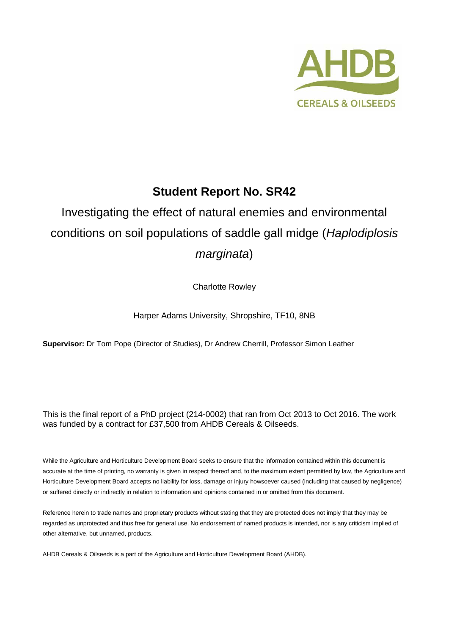

# **Student Report No. SR42**

# Investigating the effect of natural enemies and environmental conditions on soil populations of saddle gall midge (*Haplodiplosis marginata*)

Charlotte Rowley

Harper Adams University, Shropshire, TF10, 8NB

**Supervisor:** Dr Tom Pope (Director of Studies), Dr Andrew Cherrill, Professor Simon Leather

This is the final report of a PhD project (214-0002) that ran from Oct 2013 to Oct 2016. The work was funded by a contract for £37,500 from AHDB Cereals & Oilseeds.

While the Agriculture and Horticulture Development Board seeks to ensure that the information contained within this document is accurate at the time of printing, no warranty is given in respect thereof and, to the maximum extent permitted by law, the Agriculture and Horticulture Development Board accepts no liability for loss, damage or injury howsoever caused (including that caused by negligence) or suffered directly or indirectly in relation to information and opinions contained in or omitted from this document.

Reference herein to trade names and proprietary products without stating that they are protected does not imply that they may be regarded as unprotected and thus free for general use. No endorsement of named products is intended, nor is any criticism implied of other alternative, but unnamed, products.

AHDB Cereals & Oilseeds is a part of the Agriculture and Horticulture Development Board (AHDB).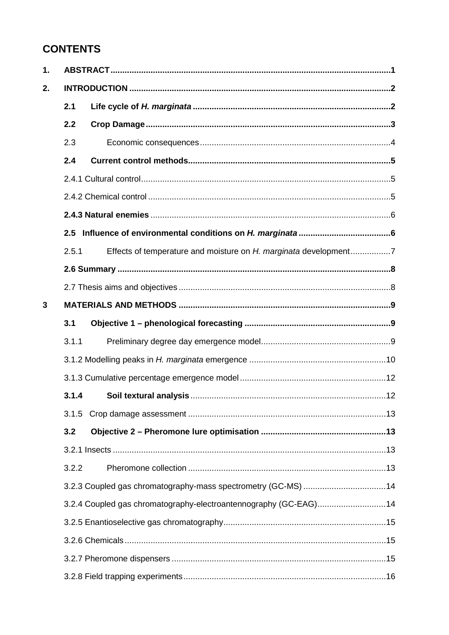# **CONTENTS**

| 1. |       |                                                                  |  |
|----|-------|------------------------------------------------------------------|--|
| 2. |       |                                                                  |  |
|    | 2.1   |                                                                  |  |
|    | 2.2   |                                                                  |  |
|    | 2.3   |                                                                  |  |
|    | 2.4   |                                                                  |  |
|    |       |                                                                  |  |
|    |       |                                                                  |  |
|    |       |                                                                  |  |
|    |       |                                                                  |  |
|    | 2.5.1 | Effects of temperature and moisture on H. marginata development7 |  |
|    |       |                                                                  |  |
|    |       |                                                                  |  |
| 3  |       |                                                                  |  |
|    | 3.1   |                                                                  |  |
|    | 3.1.1 |                                                                  |  |
|    |       |                                                                  |  |
|    |       |                                                                  |  |
|    | 3.1.4 |                                                                  |  |
|    |       |                                                                  |  |
|    | 3.2   |                                                                  |  |
|    |       |                                                                  |  |
|    | 3.2.2 |                                                                  |  |
|    |       |                                                                  |  |
|    |       | 3.2.4 Coupled gas chromatography-electroantennography (GC-EAG)14 |  |
|    |       |                                                                  |  |
|    |       |                                                                  |  |
|    |       |                                                                  |  |
|    |       |                                                                  |  |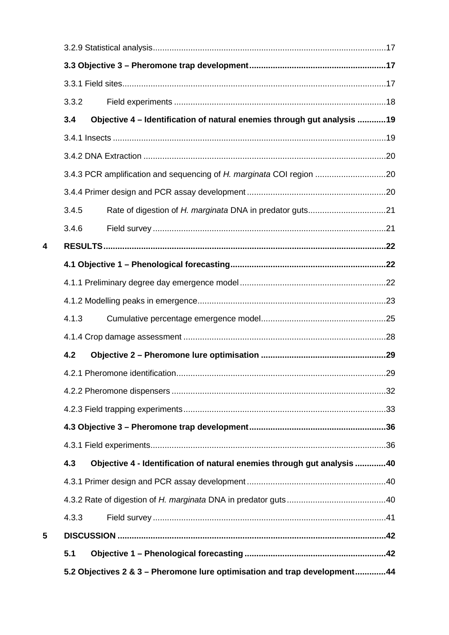| 4.2<br>4.3<br>4.3.3<br>5.1 | Objective 4 - Identification of natural enemies through gut analysis 40 |                                                                                                                                                 |
|----------------------------|-------------------------------------------------------------------------|-------------------------------------------------------------------------------------------------------------------------------------------------|
|                            |                                                                         |                                                                                                                                                 |
|                            |                                                                         |                                                                                                                                                 |
|                            |                                                                         |                                                                                                                                                 |
|                            |                                                                         |                                                                                                                                                 |
|                            |                                                                         |                                                                                                                                                 |
|                            |                                                                         |                                                                                                                                                 |
|                            |                                                                         |                                                                                                                                                 |
|                            |                                                                         |                                                                                                                                                 |
|                            |                                                                         |                                                                                                                                                 |
|                            |                                                                         |                                                                                                                                                 |
|                            |                                                                         |                                                                                                                                                 |
|                            |                                                                         |                                                                                                                                                 |
| 4.1.3                      |                                                                         |                                                                                                                                                 |
|                            |                                                                         |                                                                                                                                                 |
|                            |                                                                         |                                                                                                                                                 |
|                            |                                                                         |                                                                                                                                                 |
|                            |                                                                         |                                                                                                                                                 |
| 3.4.6                      |                                                                         |                                                                                                                                                 |
|                            |                                                                         |                                                                                                                                                 |
|                            |                                                                         |                                                                                                                                                 |
|                            |                                                                         |                                                                                                                                                 |
|                            |                                                                         |                                                                                                                                                 |
|                            |                                                                         |                                                                                                                                                 |
| 3.3.2                      |                                                                         |                                                                                                                                                 |
|                            |                                                                         |                                                                                                                                                 |
|                            |                                                                         |                                                                                                                                                 |
|                            |                                                                         |                                                                                                                                                 |
|                            | 3.4<br>3.4.5                                                            | Objective 4 - Identification of natural enemies through gut analysis 19<br>3.4.3 PCR amplification and sequencing of H. marginata COI region 20 |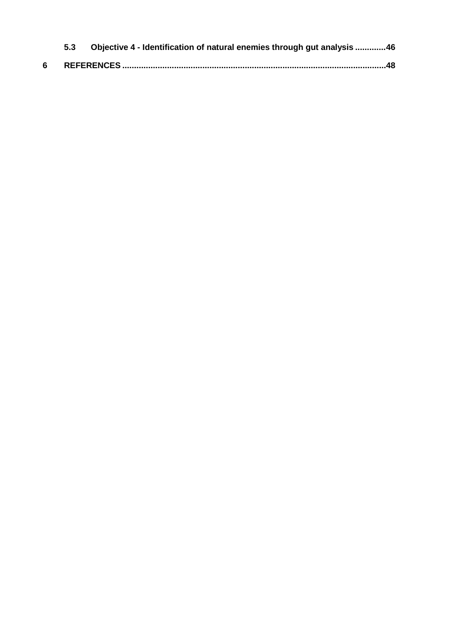|   | 5.3 | Objective 4 - Identification of natural enemies through gut analysis 46 |
|---|-----|-------------------------------------------------------------------------|
| 6 |     |                                                                         |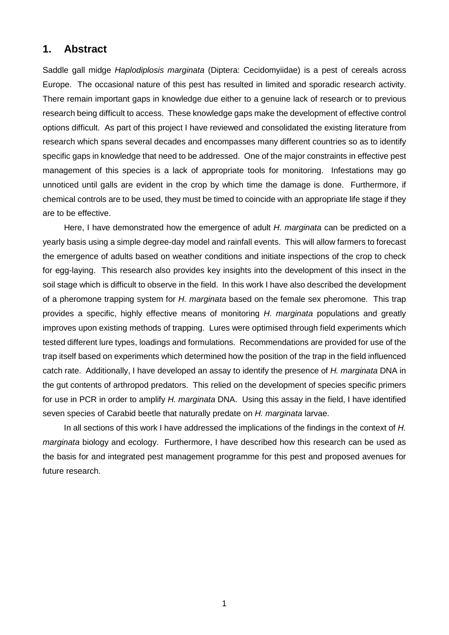# **1. Abstract**

Saddle gall midge *Haplodiplosis marginata* (Diptera: Cecidomyiidae) is a pest of cereals across Europe. The occasional nature of this pest has resulted in limited and sporadic research activity. There remain important gaps in knowledge due either to a genuine lack of research or to previous research being difficult to access. These knowledge gaps make the development of effective control options difficult. As part of this project I have reviewed and consolidated the existing literature from research which spans several decades and encompasses many different countries so as to identify specific gaps in knowledge that need to be addressed. One of the major constraints in effective pest management of this species is a lack of appropriate tools for monitoring. Infestations may go unnoticed until galls are evident in the crop by which time the damage is done. Furthermore, if chemical controls are to be used, they must be timed to coincide with an appropriate life stage if they are to be effective.

Here, I have demonstrated how the emergence of adult *H. marginata* can be predicted on a yearly basis using a simple degree-day model and rainfall events. This will allow farmers to forecast the emergence of adults based on weather conditions and initiate inspections of the crop to check for egg-laying. This research also provides key insights into the development of this insect in the soil stage which is difficult to observe in the field. In this work I have also described the development of a pheromone trapping system for *H. marginata* based on the female sex pheromone. This trap provides a specific, highly effective means of monitoring *H. marginata* populations and greatly improves upon existing methods of trapping. Lures were optimised through field experiments which tested different lure types, loadings and formulations. Recommendations are provided for use of the trap itself based on experiments which determined how the position of the trap in the field influenced catch rate. Additionally, I have developed an assay to identify the presence of *H. marginata* DNA in the gut contents of arthropod predators. This relied on the development of species specific primers for use in PCR in order to amplify *H. marginata* DNA. Using this assay in the field, I have identified seven species of Carabid beetle that naturally predate on *H. marginata* larvae.

In all sections of this work I have addressed the implications of the findings in the context of *H. marginata* biology and ecology. Furthermore, I have described how this research can be used as the basis for and integrated pest management programme for this pest and proposed avenues for future research.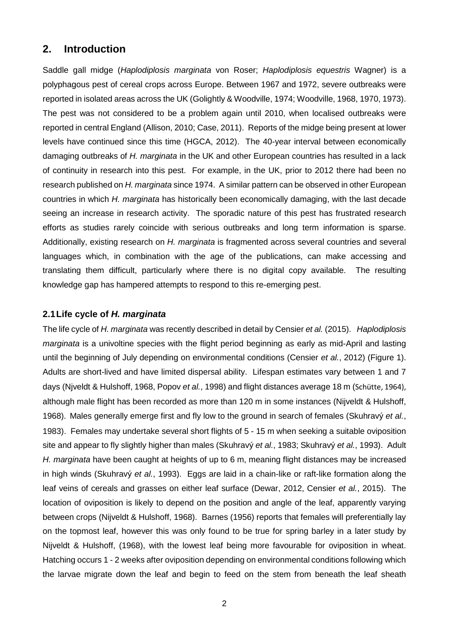# **2. Introduction**

Saddle gall midge (*Haplodiplosis marginata* von Roser; *Haplodiplosis equestris* Wagner) is a polyphagous pest of cereal crops across Europe. Between 1967 and 1972, severe outbreaks were reported in isolated areas across the UK (Golightly & Woodville, 1974; Woodville, 1968, 1970, 1973). The pest was not considered to be a problem again until 2010, when localised outbreaks were reported in central England (Allison, 2010; Case, 2011). Reports of the midge being present at lower levels have continued since this time (HGCA, 2012). The 40-year interval between economically damaging outbreaks of *H. marginata* in the UK and other European countries has resulted in a lack of continuity in research into this pest. For example, in the UK, prior to 2012 there had been no research published on *H. marginata* since 1974. A similar pattern can be observed in other European countries in which *H. marginata* has historically been economically damaging, with the last decade seeing an increase in research activity. The sporadic nature of this pest has frustrated research efforts as studies rarely coincide with serious outbreaks and long term information is sparse. Additionally, existing research on *H. marginata* is fragmented across several countries and several languages which, in combination with the age of the publications, can make accessing and translating them difficult, particularly where there is no digital copy available. The resulting knowledge gap has hampered attempts to respond to this re-emerging pest.

## **2.1Life cycle of** *H. marginata*

The life cycle of *H. marginata* was recently described in detail by Censier *et al.* (2015). *Haplodiplosis marginata* is a univoltine species with the flight period beginning as early as mid-April and lasting until the beginning of July depending on environmental conditions (Censier *et al.*, 2012) (Figure 1). Adults are short-lived and have limited dispersal ability. Lifespan estimates vary between 1 and 7 days (Njveldt & Hulshoff, 1968, Popov *et al.*, 1998) and flight distances average 18 m (Schütte, 1964), although male flight has been recorded as more than 120 m in some instances (Nijveldt & Hulshoff, 1968). Males generally emerge first and fly low to the ground in search of females (Skuhravý *et al.*, 1983). Females may undertake several short flights of 5 - 15 m when seeking a suitable oviposition site and appear to fly slightly higher than males (Skuhravý *et al.*, 1983; Skuhravý *et al.*, 1993). Adult *H. marginata* have been caught at heights of up to 6 m, meaning flight distances may be increased in high winds (Skuhravý *et al.*, 1993). Eggs are laid in a chain-like or raft-like formation along the leaf veins of cereals and grasses on either leaf surface (Dewar, 2012, Censier *et al.*, 2015). The location of oviposition is likely to depend on the position and angle of the leaf, apparently varying between crops (Nijveldt & Hulshoff, 1968). Barnes (1956) reports that females will preferentially lay on the topmost leaf, however this was only found to be true for spring barley in a later study by Nijveldt & Hulshoff, (1968), with the lowest leaf being more favourable for oviposition in wheat. Hatching occurs 1 - 2 weeks after oviposition depending on environmental conditions following which the larvae migrate down the leaf and begin to feed on the stem from beneath the leaf sheath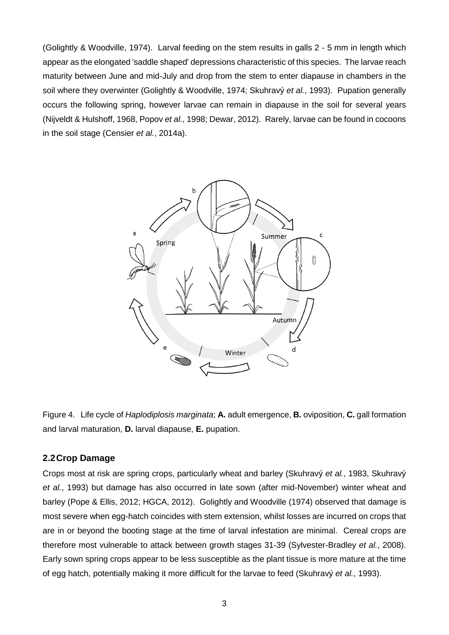(Golightly & Woodville, 1974). Larval feeding on the stem results in galls 2 - 5 mm in length which appear as the elongated 'saddle shaped' depressions characteristic of this species. The larvae reach maturity between June and mid-July and drop from the stem to enter diapause in chambers in the soil where they overwinter (Golightly & Woodville, 1974; Skuhravý *et al.*, 1993). Pupation generally occurs the following spring, however larvae can remain in diapause in the soil for several years (Nijveldt & Hulshoff, 1968, Popov *et al.*, 1998; Dewar, 2012). Rarely, larvae can be found in cocoons in the soil stage (Censier *et al.*, 2014a).



Figure 4. Life cycle of *Haplodiplosis marginata*; **A.** adult emergence, **B.** oviposition, **C.** gall formation and larval maturation, **D.** larval diapause, **E.** pupation.

# **2.2Crop Damage**

Crops most at risk are spring crops, particularly wheat and barley (Skuhravý *et al.*, 1983, Skuhravý *et al.*, 1993) but damage has also occurred in late sown (after mid-November) winter wheat and barley (Pope & Ellis, 2012; HGCA, 2012). Golightly and Woodville (1974) observed that damage is most severe when egg-hatch coincides with stem extension, whilst losses are incurred on crops that are in or beyond the booting stage at the time of larval infestation are minimal. Cereal crops are therefore most vulnerable to attack between growth stages 31-39 (Sylvester-Bradley *et al.*, 2008). Early sown spring crops appear to be less susceptible as the plant tissue is more mature at the time of egg hatch, potentially making it more difficult for the larvae to feed (Skuhravý *et al.*, 1993).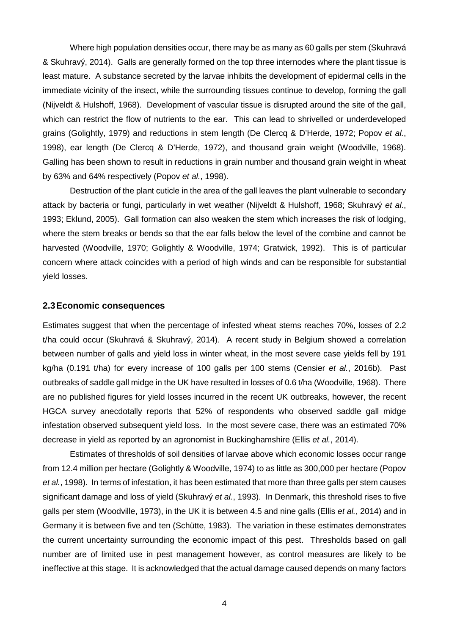Where high population densities occur, there may be as many as 60 galls per stem (Skuhravá & Skuhravý, 2014). Galls are generally formed on the top three internodes where the plant tissue is least mature. A substance secreted by the larvae inhibits the development of epidermal cells in the immediate vicinity of the insect, while the surrounding tissues continue to develop, forming the gall (Nijveldt & Hulshoff, 1968). Development of vascular tissue is disrupted around the site of the gall, which can restrict the flow of nutrients to the ear. This can lead to shrivelled or underdeveloped grains (Golightly, 1979) and reductions in stem length (De Clercq & D'Herde, 1972; Popov *et al.*, 1998), ear length (De Clercq & D'Herde, 1972), and thousand grain weight (Woodville, 1968). Galling has been shown to result in reductions in grain number and thousand grain weight in wheat by 63% and 64% respectively (Popov *et al.*, 1998).

Destruction of the plant cuticle in the area of the gall leaves the plant vulnerable to secondary attack by bacteria or fungi, particularly in wet weather (Nijveldt & Hulshoff, 1968; Skuhravý *et al*., 1993; Eklund, 2005). Gall formation can also weaken the stem which increases the risk of lodging, where the stem breaks or bends so that the ear falls below the level of the combine and cannot be harvested (Woodville, 1970; Golightly & Woodville, 1974; Gratwick, 1992). This is of particular concern where attack coincides with a period of high winds and can be responsible for substantial yield losses.

#### **2.3Economic consequences**

Estimates suggest that when the percentage of infested wheat stems reaches 70%, losses of 2.2 t/ha could occur (Skuhravá & Skuhravý, 2014). A recent study in Belgium showed a correlation between number of galls and yield loss in winter wheat, in the most severe case yields fell by 191 kg/ha (0.191 t/ha) for every increase of 100 galls per 100 stems (Censier *et al.*, 2016b). Past outbreaks of saddle gall midge in the UK have resulted in losses of 0.6 t/ha (Woodville, 1968). There are no published figures for yield losses incurred in the recent UK outbreaks, however, the recent HGCA survey anecdotally reports that 52% of respondents who observed saddle gall midge infestation observed subsequent yield loss. In the most severe case, there was an estimated 70% decrease in yield as reported by an agronomist in Buckinghamshire (Ellis *et al.*, 2014).

Estimates of thresholds of soil densities of larvae above which economic losses occur range from 12.4 million per hectare (Golightly & Woodville, 1974) to as little as 300,000 per hectare (Popov *et al.*, 1998). In terms of infestation, it has been estimated that more than three galls per stem causes significant damage and loss of yield (Skuhravý *et al.*, 1993). In Denmark, this threshold rises to five galls per stem (Woodville, 1973), in the UK it is between 4.5 and nine galls (Ellis *et al.*, 2014) and in Germany it is between five and ten (Schütte, 1983). The variation in these estimates demonstrates the current uncertainty surrounding the economic impact of this pest. Thresholds based on gall number are of limited use in pest management however, as control measures are likely to be ineffective at this stage. It is acknowledged that the actual damage caused depends on many factors

4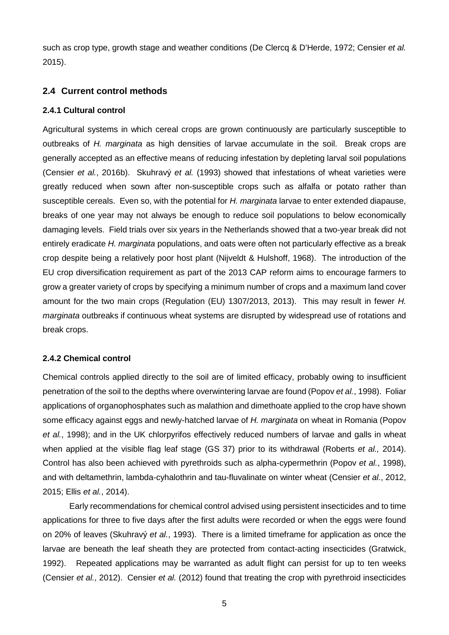such as crop type, growth stage and weather conditions (De Clercq & D'Herde, 1972; Censier *et al.*  2015).

# **2.4 Current control methods**

## **2.4.1 Cultural control**

Agricultural systems in which cereal crops are grown continuously are particularly susceptible to outbreaks of *H. marginata* as high densities of larvae accumulate in the soil. Break crops are generally accepted as an effective means of reducing infestation by depleting larval soil populations (Censier *et al.*, 2016b). Skuhravý *et al.* (1993) showed that infestations of wheat varieties were greatly reduced when sown after non-susceptible crops such as alfalfa or potato rather than susceptible cereals. Even so, with the potential for *H. marginata* larvae to enter extended diapause, breaks of one year may not always be enough to reduce soil populations to below economically damaging levels. Field trials over six years in the Netherlands showed that a two-year break did not entirely eradicate *H. marginata* populations, and oats were often not particularly effective as a break crop despite being a relatively poor host plant (Nijveldt & Hulshoff, 1968). The introduction of the EU crop diversification requirement as part of the 2013 CAP reform aims to encourage farmers to grow a greater variety of crops by specifying a minimum number of crops and a maximum land cover amount for the two main crops (Regulation (EU) 1307/2013, 2013). This may result in fewer *H. marginata* outbreaks if continuous wheat systems are disrupted by widespread use of rotations and break crops.

# **2.4.2 Chemical control**

Chemical controls applied directly to the soil are of limited efficacy, probably owing to insufficient penetration of the soil to the depths where overwintering larvae are found (Popov *et al.*, 1998). Foliar applications of organophosphates such as malathion and dimethoate applied to the crop have shown some efficacy against eggs and newly-hatched larvae of *H. marginata* on wheat in Romania (Popov *et al.*, 1998); and in the UK chlorpyrifos effectively reduced numbers of larvae and galls in wheat when applied at the visible flag leaf stage (GS 37) prior to its withdrawal (Roberts *et al.,* 2014). Control has also been achieved with pyrethroids such as alpha-cypermethrin (Popov *et al.*, 1998), and with deltamethrin, lambda-cyhalothrin and tau-fluvalinate on winter wheat (Censier *et al.*, 2012, 2015; Ellis *et al.*, 2014).

Early recommendations for chemical control advised using persistent insecticides and to time applications for three to five days after the first adults were recorded or when the eggs were found on 20% of leaves (Skuhravý *et al.*, 1993). There is a limited timeframe for application as once the larvae are beneath the leaf sheath they are protected from contact-acting insecticides (Gratwick, 1992). Repeated applications may be warranted as adult flight can persist for up to ten weeks (Censier *et al.*, 2012). Censier *et al.* (2012) found that treating the crop with pyrethroid insecticides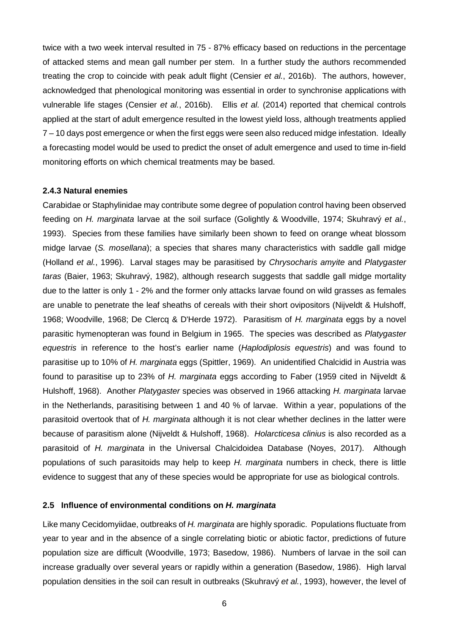twice with a two week interval resulted in 75 - 87% efficacy based on reductions in the percentage of attacked stems and mean gall number per stem. In a further study the authors recommended treating the crop to coincide with peak adult flight (Censier *et al.*, 2016b). The authors, however, acknowledged that phenological monitoring was essential in order to synchronise applications with vulnerable life stages (Censier *et al.*, 2016b). Ellis *et al.* (2014) reported that chemical controls applied at the start of adult emergence resulted in the lowest yield loss, although treatments applied 7 – 10 days post emergence or when the first eggs were seen also reduced midge infestation. Ideally a forecasting model would be used to predict the onset of adult emergence and used to time in-field monitoring efforts on which chemical treatments may be based.

#### **2.4.3 Natural enemies**

Carabidae or Staphylinidae may contribute some degree of population control having been observed feeding on *H. marginata* larvae at the soil surface (Golightly & Woodville, 1974; Skuhravý *et al.*, 1993). Species from these families have similarly been shown to feed on orange wheat blossom midge larvae (*S. mosellana*); a species that shares many characteristics with saddle gall midge (Holland *et al.*, 1996). Larval stages may be parasitised by *Chrysocharis amyite* and *Platygaster taras* (Baier, 1963; Skuhravý, 1982), although research suggests that saddle gall midge mortality due to the latter is only 1 - 2% and the former only attacks larvae found on wild grasses as females are unable to penetrate the leaf sheaths of cereals with their short ovipositors (Nijveldt & Hulshoff, 1968; Woodville, 1968; De Clercq & D'Herde 1972). Parasitism of *H. marginata* eggs by a novel parasitic hymenopteran was found in Belgium in 1965. The species was described as *Platygaster equestris* in reference to the host's earlier name (*Haplodiplosis equestris*) and was found to parasitise up to 10% of *H. marginata* eggs (Spittler, 1969). An unidentified Chalcidid in Austria was found to parasitise up to 23% of *H. marginata* eggs according to Faber (1959 cited in Nijveldt & Hulshoff, 1968). Another *Platygaster* species was observed in 1966 attacking *H. marginata* larvae in the Netherlands, parasitising between 1 and 40 % of larvae. Within a year, populations of the parasitoid overtook that of *H. marginata* although it is not clear whether declines in the latter were because of parasitism alone (Nijveldt & Hulshoff, 1968). *Holarcticesa clinius* is also recorded as a parasitoid of *H. marginata* in the Universal Chalcidoidea Database (Noyes, 2017). Although populations of such parasitoids may help to keep *H. marginata* numbers in check, there is little evidence to suggest that any of these species would be appropriate for use as biological controls.

#### **2.5 Influence of environmental conditions on** *H. marginata*

Like many Cecidomyiidae, outbreaks of *H. marginata* are highly sporadic. Populations fluctuate from year to year and in the absence of a single correlating biotic or abiotic factor, predictions of future population size are difficult (Woodville, 1973; Basedow, 1986). Numbers of larvae in the soil can increase gradually over several years or rapidly within a generation (Basedow, 1986). High larval population densities in the soil can result in outbreaks (Skuhravý *et al.*, 1993), however, the level of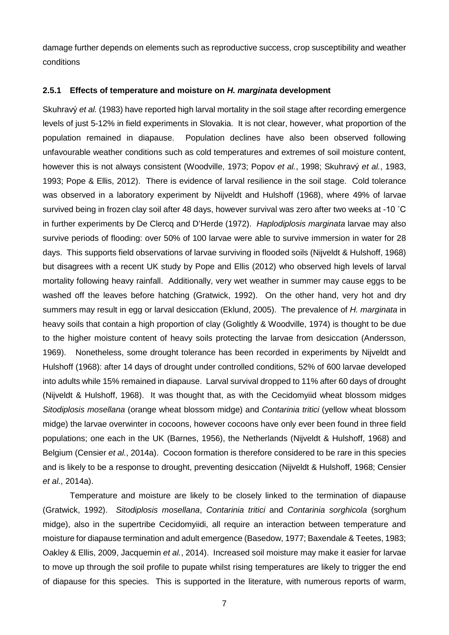damage further depends on elements such as reproductive success, crop susceptibility and weather conditions

#### **2.5.1 Effects of temperature and moisture on** *H. marginata* **development**

Skuhravý *et al.* (1983) have reported high larval mortality in the soil stage after recording emergence levels of just 5-12% in field experiments in Slovakia. It is not clear, however, what proportion of the population remained in diapause. Population declines have also been observed following unfavourable weather conditions such as cold temperatures and extremes of soil moisture content, however this is not always consistent (Woodville, 1973; Popov *et al.*, 1998; Skuhravý *et al.*, 1983, 1993; Pope & Ellis, 2012). There is evidence of larval resilience in the soil stage. Cold tolerance was observed in a laboratory experiment by Nijveldt and Hulshoff (1968), where 49% of larvae survived being in frozen clay soil after 48 days, however survival was zero after two weeks at -10 ˚C in further experiments by De Clercq and D'Herde (1972). *Haplodiplosis marginata* larvae may also survive periods of flooding: over 50% of 100 larvae were able to survive immersion in water for 28 days. This supports field observations of larvae surviving in flooded soils (Nijveldt & Hulshoff, 1968) but disagrees with a recent UK study by Pope and Ellis (2012) who observed high levels of larval mortality following heavy rainfall. Additionally, very wet weather in summer may cause eggs to be washed off the leaves before hatching (Gratwick, 1992). On the other hand, very hot and dry summers may result in egg or larval desiccation (Eklund, 2005). The prevalence of *H. marginata* in heavy soils that contain a high proportion of clay (Golightly & Woodville, 1974) is thought to be due to the higher moisture content of heavy soils protecting the larvae from desiccation (Andersson, 1969). Nonetheless, some drought tolerance has been recorded in experiments by Nijveldt and Hulshoff (1968): after 14 days of drought under controlled conditions, 52% of 600 larvae developed into adults while 15% remained in diapause. Larval survival dropped to 11% after 60 days of drought (Nijveldt & Hulshoff, 1968). It was thought that, as with the Cecidomyiid wheat blossom midges *Sitodiplosis mosellana* (orange wheat blossom midge) and *Contarinia tritici* (yellow wheat blossom midge) the larvae overwinter in cocoons, however cocoons have only ever been found in three field populations; one each in the UK (Barnes, 1956), the Netherlands (Nijveldt & Hulshoff, 1968) and Belgium (Censier *et al.*, 2014a). Cocoon formation is therefore considered to be rare in this species and is likely to be a response to drought, preventing desiccation (Nijveldt & Hulshoff, 1968; Censier *et al.*, 2014a).

Temperature and moisture are likely to be closely linked to the termination of diapause (Gratwick, 1992). *Sitodiplosis mosellana*, *Contarinia tritici* and *Contarinia sorghicola* (sorghum midge), also in the supertribe Cecidomyiidi, all require an interaction between temperature and moisture for diapause termination and adult emergence (Basedow, 1977; Baxendale & Teetes, 1983; Oakley & Ellis, 2009, Jacquemin *et al.*, 2014). Increased soil moisture may make it easier for larvae to move up through the soil profile to pupate whilst rising temperatures are likely to trigger the end of diapause for this species. This is supported in the literature, with numerous reports of warm,

7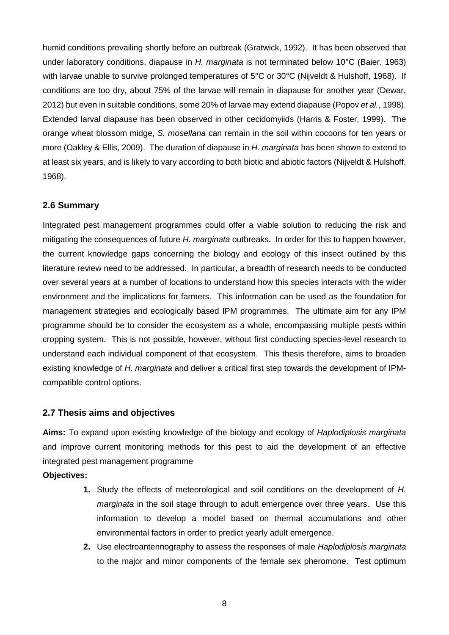humid conditions prevailing shortly before an outbreak (Gratwick, 1992). It has been observed that under laboratory conditions, diapause in *H. marginata* is not terminated below 10°C (Baier, 1963) with larvae unable to survive prolonged temperatures of 5°C or 30°C (Nijveldt & Hulshoff, 1968). If conditions are too dry, about 75% of the larvae will remain in diapause for another year (Dewar, 2012) but even in suitable conditions, some 20% of larvae may extend diapause (Popov *et al.*, 1998). Extended larval diapause has been observed in other cecidomyiids (Harris & Foster, 1999). The orange wheat blossom midge, *S. mosellana* can remain in the soil within cocoons for ten years or more (Oakley & Ellis, 2009). The duration of diapause in *H. marginata* has been shown to extend to at least six years, and is likely to vary according to both biotic and abiotic factors (Nijveldt & Hulshoff, 1968).

# **2.6 Summary**

Integrated pest management programmes could offer a viable solution to reducing the risk and mitigating the consequences of future *H. marginata* outbreaks. In order for this to happen however, the current knowledge gaps concerning the biology and ecology of this insect outlined by this literature review need to be addressed. In particular, a breadth of research needs to be conducted over several years at a number of locations to understand how this species interacts with the wider environment and the implications for farmers. This information can be used as the foundation for management strategies and ecologically based IPM programmes. The ultimate aim for any IPM programme should be to consider the ecosystem as a whole, encompassing multiple pests within cropping system. This is not possible, however, without first conducting species-level research to understand each individual component of that ecosystem. This thesis therefore, aims to broaden existing knowledge of *H. marginata* and deliver a critical first step towards the development of IPMcompatible control options.

# **2.7 Thesis aims and objectives**

**Aims:** To expand upon existing knowledge of the biology and ecology of *Haplodiplosis marginata* and improve current monitoring methods for this pest to aid the development of an effective integrated pest management programme

## **Objectives:**

- **1.** Study the effects of meteorological and soil conditions on the development of *H. marginata* in the soil stage through to adult emergence over three years. Use this information to develop a model based on thermal accumulations and other environmental factors in order to predict yearly adult emergence.
- **2.** Use electroantennography to assess the responses of male *Haplodiplosis marginata* to the major and minor components of the female sex pheromone. Test optimum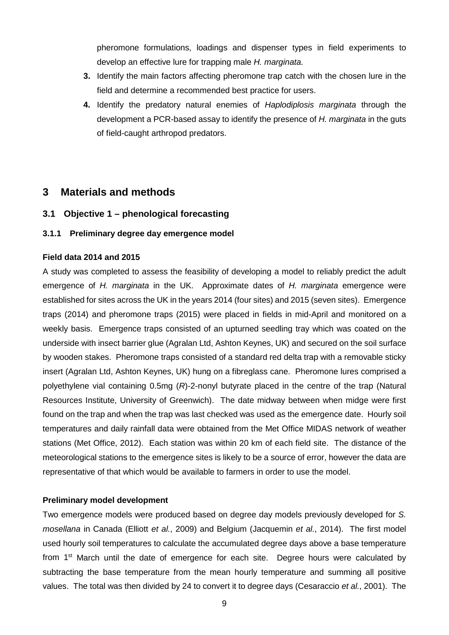pheromone formulations, loadings and dispenser types in field experiments to develop an effective lure for trapping male *H. marginata.*

- **3.** Identify the main factors affecting pheromone trap catch with the chosen lure in the field and determine a recommended best practice for users.
- **4.** Identify the predatory natural enemies of *Haplodiplosis marginata* through the development a PCR-based assay to identify the presence of *H. marginata* in the guts of field-caught arthropod predators.

# **3 Materials and methods**

**3.1 Objective 1 – phenological forecasting**

# **3.1.1 Preliminary degree day emergence model**

## **Field data 2014 and 2015**

A study was completed to assess the feasibility of developing a model to reliably predict the adult emergence of *H. marginata* in the UK. Approximate dates of *H. marginata* emergence were established for sites across the UK in the years 2014 (four sites) and 2015 (seven sites). Emergence traps (2014) and pheromone traps (2015) were placed in fields in mid-April and monitored on a weekly basis. Emergence traps consisted of an upturned seedling tray which was coated on the underside with insect barrier glue (Agralan Ltd, Ashton Keynes, UK) and secured on the soil surface by wooden stakes. Pheromone traps consisted of a standard red delta trap with a removable sticky insert (Agralan Ltd, Ashton Keynes, UK) hung on a fibreglass cane. Pheromone lures comprised a polyethylene vial containing 0.5mg (*R*)-2-nonyl butyrate placed in the centre of the trap (Natural Resources Institute, University of Greenwich). The date midway between when midge were first found on the trap and when the trap was last checked was used as the emergence date. Hourly soil temperatures and daily rainfall data were obtained from the Met Office MIDAS network of weather stations (Met Office, 2012). Each station was within 20 km of each field site. The distance of the meteorological stations to the emergence sites is likely to be a source of error, however the data are representative of that which would be available to farmers in order to use the model.

## **Preliminary model development**

Two emergence models were produced based on degree day models previously developed for *S. mosellana* in Canada (Elliott *et al.*, 2009) and Belgium (Jacquemin *et al.*, 2014). The first model used hourly soil temperatures to calculate the accumulated degree days above a base temperature from 1st March until the date of emergence for each site. Degree hours were calculated by subtracting the base temperature from the mean hourly temperature and summing all positive values. The total was then divided by 24 to convert it to degree days (Cesaraccio *et al.*, 2001). The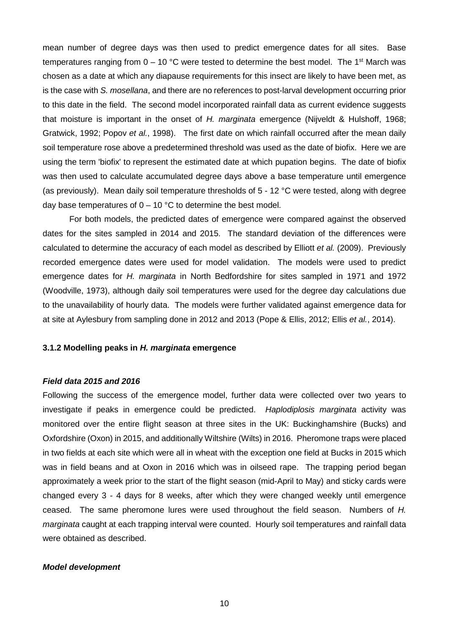mean number of degree days was then used to predict emergence dates for all sites. Base temperatures ranging from  $0 - 10$  °C were tested to determine the best model. The 1<sup>st</sup> March was chosen as a date at which any diapause requirements for this insect are likely to have been met, as is the case with *S. mosellana*, and there are no references to post-larval development occurring prior to this date in the field. The second model incorporated rainfall data as current evidence suggests that moisture is important in the onset of *H. marginata* emergence (Nijveldt & Hulshoff, 1968; Gratwick, 1992; Popov *et al.*, 1998). The first date on which rainfall occurred after the mean daily soil temperature rose above a predetermined threshold was used as the date of biofix. Here we are using the term 'biofix' to represent the estimated date at which pupation begins. The date of biofix was then used to calculate accumulated degree days above a base temperature until emergence (as previously). Mean daily soil temperature thresholds of 5 - 12 °C were tested, along with degree day base temperatures of  $0 - 10$  °C to determine the best model.

For both models, the predicted dates of emergence were compared against the observed dates for the sites sampled in 2014 and 2015. The standard deviation of the differences were calculated to determine the accuracy of each model as described by Elliott *et al.* (2009). Previously recorded emergence dates were used for model validation. The models were used to predict emergence dates for *H. marginata* in North Bedfordshire for sites sampled in 1971 and 1972 (Woodville, 1973), although daily soil temperatures were used for the degree day calculations due to the unavailability of hourly data. The models were further validated against emergence data for at site at Aylesbury from sampling done in 2012 and 2013 (Pope & Ellis, 2012; Ellis *et al.*, 2014).

#### **3.1.2 Modelling peaks in** *H. marginata* **emergence**

#### *Field data 2015 and 2016*

Following the success of the emergence model, further data were collected over two years to investigate if peaks in emergence could be predicted. *Haplodiplosis marginata* activity was monitored over the entire flight season at three sites in the UK: Buckinghamshire (Bucks) and Oxfordshire (Oxon) in 2015, and additionally Wiltshire (Wilts) in 2016. Pheromone traps were placed in two fields at each site which were all in wheat with the exception one field at Bucks in 2015 which was in field beans and at Oxon in 2016 which was in oilseed rape. The trapping period began approximately a week prior to the start of the flight season (mid-April to May) and sticky cards were changed every 3 - 4 days for 8 weeks, after which they were changed weekly until emergence ceased. The same pheromone lures were used throughout the field season. Numbers of *H. marginata* caught at each trapping interval were counted. Hourly soil temperatures and rainfall data were obtained as described.

#### *Model development*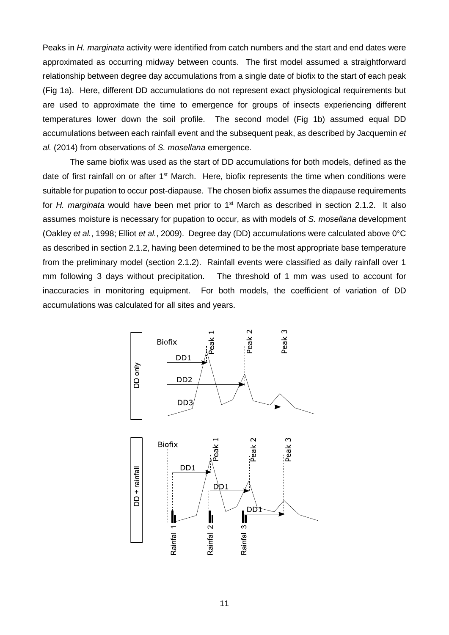Peaks in *H. marginata* activity were identified from catch numbers and the start and end dates were approximated as occurring midway between counts. The first model assumed a straightforward relationship between degree day accumulations from a single date of biofix to the start of each peak (Fig 1a). Here, different DD accumulations do not represent exact physiological requirements but are used to approximate the time to emergence for groups of insects experiencing different temperatures lower down the soil profile. The second model (Fig 1b) assumed equal DD accumulations between each rainfall event and the subsequent peak, as described by Jacquemin *et al.* (2014) from observations of *S. mosellana* emergence.

The same biofix was used as the start of DD accumulations for both models, defined as the date of first rainfall on or after 1<sup>st</sup> March. Here, biofix represents the time when conditions were suitable for pupation to occur post-diapause. The chosen biofix assumes the diapause requirements for *H. marginata* would have been met prior to 1<sup>st</sup> March as described in section 2.1.2. It also assumes moisture is necessary for pupation to occur, as with models of *S. mosellana* development (Oakley *et al.*, 1998; Elliot *et al.*, 2009). Degree day (DD) accumulations were calculated above 0°C as described in section 2.1.2, having been determined to be the most appropriate base temperature from the preliminary model (section 2.1.2). Rainfall events were classified as daily rainfall over 1 mm following 3 days without precipitation. The threshold of 1 mm was used to account for inaccuracies in monitoring equipment. For both models, the coefficient of variation of DD accumulations was calculated for all sites and years.

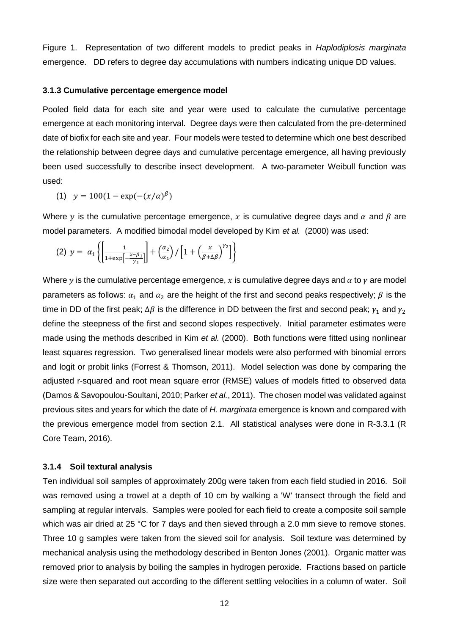Figure 1. Representation of two different models to predict peaks in *Haplodiplosis marginata* emergence. DD refers to degree day accumulations with numbers indicating unique DD values.

#### **3.1.3 Cumulative percentage emergence model**

Pooled field data for each site and year were used to calculate the cumulative percentage emergence at each monitoring interval. Degree days were then calculated from the pre-determined date of biofix for each site and year. Four models were tested to determine which one best described the relationship between degree days and cumulative percentage emergence, all having previously been used successfully to describe insect development. A two-parameter Weibull function was used:

(1) 
$$
y = 100(1 - \exp(-(x/\alpha)^{\beta}))
$$

Where y is the cumulative percentage emergence, x is cumulative degree days and  $\alpha$  and  $\beta$  are model parameters. A modified bimodal model developed by Kim *et al.* (2000) was used:

$$
(2) \ y = \alpha_1 \left\{ \left[ \frac{1}{1 + \exp\left[-\frac{x - \beta_1}{\gamma_1}\right]} \right] + \left( \frac{\alpha_2}{\alpha_1} \right) / \left[ 1 + \left( \frac{x}{\beta + \Delta \beta} \right)^{\gamma_2} \right] \right\}
$$

Where y is the cumulative percentage emergence, x is cumulative degree days and  $\alpha$  to  $\gamma$  are model parameters as follows:  $\alpha_1$  and  $\alpha_2$  are the height of the first and second peaks respectively;  $\beta$  is the time in DD of the first peak;  $\Delta \beta$  is the difference in DD between the first and second peak;  $\gamma_1$  and  $\gamma_2$ define the steepness of the first and second slopes respectively. Initial parameter estimates were made using the methods described in Kim *et al.* (2000). Both functions were fitted using nonlinear least squares regression. Two generalised linear models were also performed with binomial errors and logit or probit links (Forrest & Thomson, 2011). Model selection was done by comparing the adjusted r-squared and root mean square error (RMSE) values of models fitted to observed data (Damos & Savopoulou-Soultani, 2010; Parker *et al.*, 2011). The chosen model was validated against previous sites and years for which the date of *H. marginata* emergence is known and compared with the previous emergence model from section 2.1. All statistical analyses were done in R-3.3.1 (R Core Team, 2016).

## **3.1.4 Soil textural analysis**

Ten individual soil samples of approximately 200g were taken from each field studied in 2016. Soil was removed using a trowel at a depth of 10 cm by walking a 'W' transect through the field and sampling at regular intervals. Samples were pooled for each field to create a composite soil sample which was air dried at 25 °C for 7 days and then sieved through a 2.0 mm sieve to remove stones. Three 10 g samples were taken from the sieved soil for analysis. Soil texture was determined by mechanical analysis using the methodology described in Benton Jones (2001). Organic matter was removed prior to analysis by boiling the samples in hydrogen peroxide. Fractions based on particle size were then separated out according to the different settling velocities in a column of water. Soil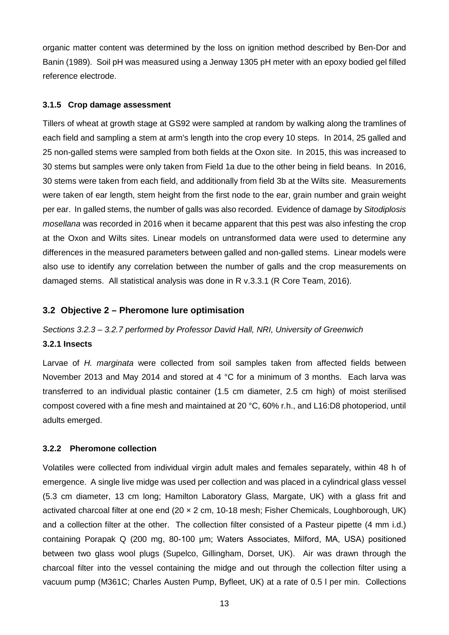organic matter content was determined by the loss on ignition method described by Ben-Dor and Banin (1989). Soil pH was measured using a Jenway 1305 pH meter with an epoxy bodied gel filled reference electrode.

## **3.1.5 Crop damage assessment**

Tillers of wheat at growth stage at GS92 were sampled at random by walking along the tramlines of each field and sampling a stem at arm's length into the crop every 10 steps. In 2014, 25 galled and 25 non-galled stems were sampled from both fields at the Oxon site. In 2015, this was increased to 30 stems but samples were only taken from Field 1a due to the other being in field beans. In 2016, 30 stems were taken from each field, and additionally from field 3b at the Wilts site. Measurements were taken of ear length, stem height from the first node to the ear, grain number and grain weight per ear. In galled stems, the number of galls was also recorded. Evidence of damage by *Sitodiplosis mosellana* was recorded in 2016 when it became apparent that this pest was also infesting the crop at the Oxon and Wilts sites. Linear models on untransformed data were used to determine any differences in the measured parameters between galled and non-galled stems. Linear models were also use to identify any correlation between the number of galls and the crop measurements on damaged stems. All statistical analysis was done in R v.3.3.1 (R Core Team, 2016).

## **3.2 Objective 2 – Pheromone lure optimisation**

#### *Sections 3.2.3 – 3.2.7 performed by Professor David Hall, NRI, University of Greenwich*

## **3.2.1 Insects**

Larvae of *H. marginata* were collected from soil samples taken from affected fields between November 2013 and May 2014 and stored at 4 °C for a minimum of 3 months. Each larva was transferred to an individual plastic container (1.5 cm diameter, 2.5 cm high) of moist sterilised compost covered with a fine mesh and maintained at 20 °C, 60% r.h., and L16:D8 photoperiod, until adults emerged.

#### **3.2.2 Pheromone collection**

Volatiles were collected from individual virgin adult males and females separately, within 48 h of emergence. A single live midge was used per collection and was placed in a cylindrical glass vessel (5.3 cm diameter, 13 cm long; Hamilton Laboratory Glass, Margate, UK) with a glass frit and activated charcoal filter at one end (20 × 2 cm, 10-18 mesh; Fisher Chemicals, Loughborough, UK) and a collection filter at the other. The collection filter consisted of a Pasteur pipette (4 mm i.d.) containing Porapak Q (200 mg, 80-100 μm; Waters Associates, Milford, MA, USA) positioned between two glass wool plugs (Supelco, Gillingham, Dorset, UK). Air was drawn through the charcoal filter into the vessel containing the midge and out through the collection filter using a vacuum pump (M361C; Charles Austen Pump, Byfleet, UK) at a rate of 0.5 l per min. Collections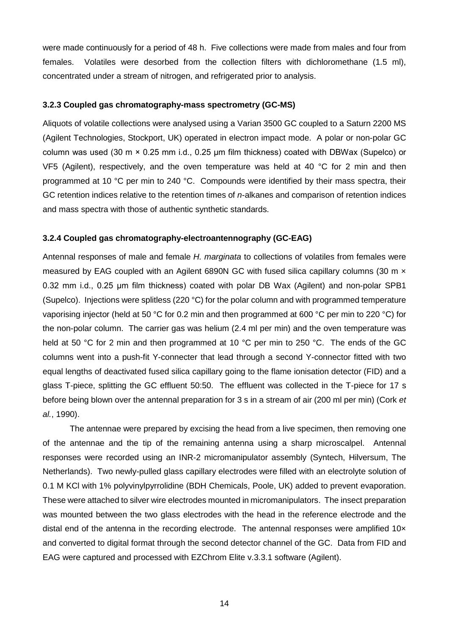were made continuously for a period of 48 h. Five collections were made from males and four from females. Volatiles were desorbed from the collection filters with dichloromethane (1.5 ml), concentrated under a stream of nitrogen, and refrigerated prior to analysis.

## **3.2.3 Coupled gas chromatography-mass spectrometry (GC-MS)**

Aliquots of volatile collections were analysed using a Varian 3500 GC coupled to a Saturn 2200 MS (Agilent Technologies, Stockport, UK) operated in electron impact mode. A polar or non-polar GC column was used (30 m × 0.25 mm i.d., 0.25 μm film thickness) coated with DBWax (Supelco) or VF5 (Agilent), respectively, and the oven temperature was held at 40  $\degree$ C for 2 min and then programmed at 10 °C per min to 240 °C. Compounds were identified by their mass spectra, their GC retention indices relative to the retention times of *n*-alkanes and comparison of retention indices and mass spectra with those of authentic synthetic standards.

## **3.2.4 Coupled gas chromatography-electroantennography (GC-EAG)**

Antennal responses of male and female *H. marginata* to collections of volatiles from females were measured by EAG coupled with an Agilent 6890N GC with fused silica capillary columns (30 m x 0.32 mm i.d., 0.25 μm film thickness) coated with polar DB Wax (Agilent) and non-polar SPB1 (Supelco). Injections were splitless (220 °C) for the polar column and with programmed temperature vaporising injector (held at 50 °C for 0.2 min and then programmed at 600 °C per min to 220 °C) for the non-polar column. The carrier gas was helium (2.4 ml per min) and the oven temperature was held at 50 °C for 2 min and then programmed at 10 °C per min to 250 °C. The ends of the GC columns went into a push-fit Y-connecter that lead through a second Y-connector fitted with two equal lengths of deactivated fused silica capillary going to the flame ionisation detector (FID) and a glass T-piece, splitting the GC effluent 50:50. The effluent was collected in the T-piece for 17 s before being blown over the antennal preparation for 3 s in a stream of air (200 ml per min) (Cork *et al.*, 1990).

The antennae were prepared by excising the head from a live specimen, then removing one of the antennae and the tip of the remaining antenna using a sharp microscalpel. Antennal responses were recorded using an INR-2 micromanipulator assembly (Syntech, Hilversum, The Netherlands). Two newly-pulled glass capillary electrodes were filled with an electrolyte solution of 0.1 M KCl with 1% polyvinylpyrrolidine (BDH Chemicals, Poole, UK) added to prevent evaporation. These were attached to silver wire electrodes mounted in micromanipulators. The insect preparation was mounted between the two glass electrodes with the head in the reference electrode and the distal end of the antenna in the recording electrode. The antennal responses were amplified 10x and converted to digital format through the second detector channel of the GC. Data from FID and EAG were captured and processed with EZChrom Elite v.3.3.1 software (Agilent).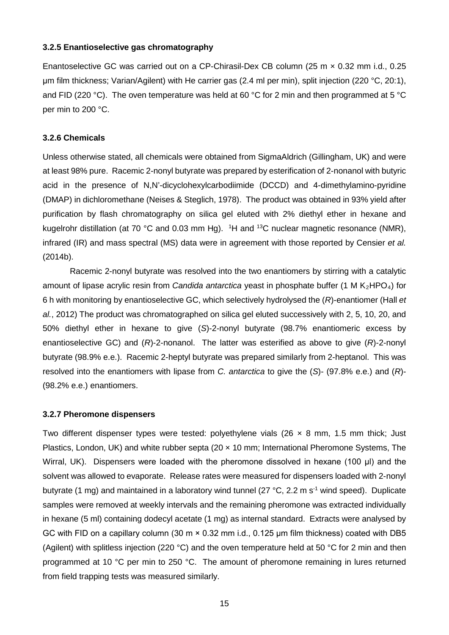#### **3.2.5 Enantioselective gas chromatography**

Enantoselective GC was carried out on a CP-Chirasil-Dex CB column (25 m × 0.32 mm i.d., 0.25 μm film thickness; Varian/Agilent) with He carrier gas (2.4 ml per min), split injection (220 °C, 20:1), and FID (220 °C). The oven temperature was held at 60 °C for 2 min and then programmed at 5 °C per min to 200 °C.

#### **3.2.6 Chemicals**

Unless otherwise stated, all chemicals were obtained from SigmaAldrich (Gillingham, UK) and were at least 98% pure. Racemic 2-nonyl butyrate was prepared by esterification of 2-nonanol with butyric acid in the presence of N,N'-dicyclohexylcarbodiimide (DCCD) and 4-dimethylamino-pyridine (DMAP) in dichloromethane (Neises & Steglich, 1978). The product was obtained in 93% yield after purification by flash chromatography on silica gel eluted with 2% diethyl ether in hexane and kugelrohr distillation (at 70 °C and 0.03 mm Hg). <sup>1</sup>H and <sup>13</sup>C nuclear magnetic resonance (NMR), infrared (IR) and mass spectral (MS) data were in agreement with those reported by Censier *et al.* (2014b).

Racemic 2-nonyl butyrate was resolved into the two enantiomers by stirring with a catalytic amount of lipase acrylic resin from *Candida antarctica* yeast in phosphate buffer (1 M K<sub>2</sub>HPO<sub>4</sub>) for 6 h with monitoring by enantioselective GC, which selectively hydrolysed the (*R*)-enantiomer (Hall *et al.*, 2012) The product was chromatographed on silica gel eluted successively with 2, 5, 10, 20, and 50% diethyl ether in hexane to give (*S*)-2-nonyl butyrate (98.7% enantiomeric excess by enantioselective GC) and (*R*)-2-nonanol. The latter was esterified as above to give (*R*)-2-nonyl butyrate (98.9% e.e.). Racemic 2-heptyl butyrate was prepared similarly from 2-heptanol. This was resolved into the enantiomers with lipase from *C. antarctica* to give the (*S*)- (97.8% e.e.) and (*R*)- (98.2% e.e.) enantiomers.

#### **3.2.7 Pheromone dispensers**

Two different dispenser types were tested: polyethylene vials (26  $\times$  8 mm, 1.5 mm thick; Just Plastics, London, UK) and white rubber septa ( $20 \times 10$  mm; International Pheromone Systems, The Wirral, UK). Dispensers were loaded with the pheromone dissolved in hexane (100 μl) and the solvent was allowed to evaporate. Release rates were measured for dispensers loaded with 2-nonyl butyrate (1 mg) and maintained in a laboratory wind tunnel (27  $^{\circ}$ C, 2.2 m s<sup>-1</sup> wind speed). Duplicate samples were removed at weekly intervals and the remaining pheromone was extracted individually in hexane (5 ml) containing dodecyl acetate (1 mg) as internal standard. Extracts were analysed by GC with FID on a capillary column (30 m × 0.32 mm i.d., 0.125 μm film thickness) coated with DB5 (Agilent) with splitless injection (220 °C) and the oven temperature held at 50 °C for 2 min and then programmed at 10 °C per min to 250 °C. The amount of pheromone remaining in lures returned from field trapping tests was measured similarly.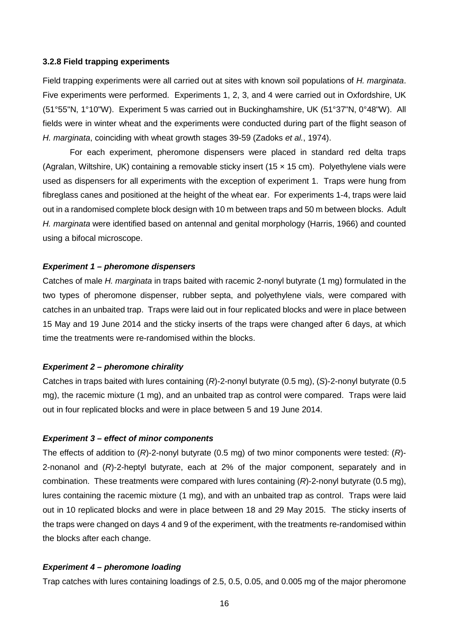#### **3.2.8 Field trapping experiments**

Field trapping experiments were all carried out at sites with known soil populations of *H. marginata*. Five experiments were performed. Experiments 1, 2, 3, and 4 were carried out in Oxfordshire, UK (51°55"N, 1°10"W). Experiment 5 was carried out in Buckinghamshire, UK (51°37"N, 0°48"W). All fields were in winter wheat and the experiments were conducted during part of the flight season of *H. marginata*, coinciding with wheat growth stages 39-59 (Zadoks *et al.*, 1974).

For each experiment, pheromone dispensers were placed in standard red delta traps (Agralan, Wiltshire, UK) containing a removable sticky insert (15  $\times$  15 cm). Polyethylene vials were used as dispensers for all experiments with the exception of experiment 1. Traps were hung from fibreglass canes and positioned at the height of the wheat ear. For experiments 1-4, traps were laid out in a randomised complete block design with 10 m between traps and 50 m between blocks. Adult *H. marginata* were identified based on antennal and genital morphology (Harris, 1966) and counted using a bifocal microscope.

#### *Experiment 1 – pheromone dispensers*

Catches of male *H. marginata* in traps baited with racemic 2-nonyl butyrate (1 mg) formulated in the two types of pheromone dispenser, rubber septa, and polyethylene vials, were compared with catches in an unbaited trap. Traps were laid out in four replicated blocks and were in place between 15 May and 19 June 2014 and the sticky inserts of the traps were changed after 6 days, at which time the treatments were re-randomised within the blocks.

#### *Experiment 2 – pheromone chirality*

Catches in traps baited with lures containing (*R*)-2-nonyl butyrate (0.5 mg), (*S*)-2-nonyl butyrate (0.5 mg), the racemic mixture (1 mg), and an unbaited trap as control were compared. Traps were laid out in four replicated blocks and were in place between 5 and 19 June 2014.

#### *Experiment 3 – effect of minor components*

The effects of addition to (*R*)-2-nonyl butyrate (0.5 mg) of two minor components were tested: (*R*)- 2-nonanol and (*R*)-2-heptyl butyrate, each at 2% of the major component, separately and in combination. These treatments were compared with lures containing (*R*)-2-nonyl butyrate (0.5 mg), lures containing the racemic mixture (1 mg), and with an unbaited trap as control. Traps were laid out in 10 replicated blocks and were in place between 18 and 29 May 2015. The sticky inserts of the traps were changed on days 4 and 9 of the experiment, with the treatments re-randomised within the blocks after each change.

#### *Experiment 4 – pheromone loading*

Trap catches with lures containing loadings of 2.5, 0.5, 0.05, and 0.005 mg of the major pheromone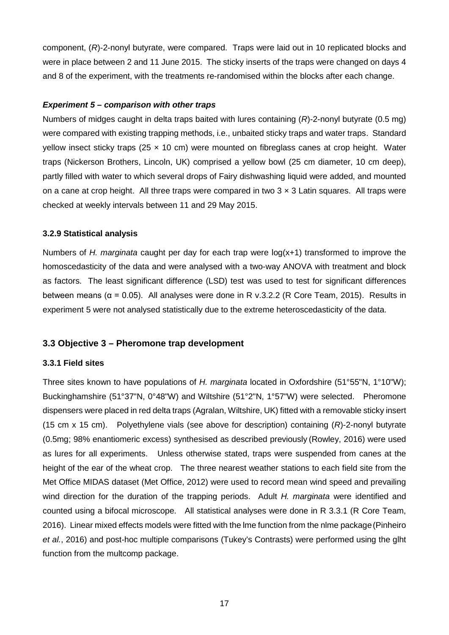component, (*R*)-2-nonyl butyrate, were compared. Traps were laid out in 10 replicated blocks and were in place between 2 and 11 June 2015. The sticky inserts of the traps were changed on days 4 and 8 of the experiment, with the treatments re-randomised within the blocks after each change.

## *Experiment 5 – comparison with other traps*

Numbers of midges caught in delta traps baited with lures containing (*R*)-2-nonyl butyrate (0.5 mg) were compared with existing trapping methods, i.e., unbaited sticky traps and water traps. Standard yellow insect sticky traps (25  $\times$  10 cm) were mounted on fibreglass canes at crop height. Water traps (Nickerson Brothers, Lincoln, UK) comprised a yellow bowl (25 cm diameter, 10 cm deep), partly filled with water to which several drops of Fairy dishwashing liquid were added, and mounted on a cane at crop height. All three traps were compared in two  $3 \times 3$  Latin squares. All traps were checked at weekly intervals between 11 and 29 May 2015.

## **3.2.9 Statistical analysis**

Numbers of *H. marginata* caught per day for each trap were log(x+1) transformed to improve the homoscedasticity of the data and were analysed with a two-way ANOVA with treatment and block as factors. The least significant difference (LSD) test was used to test for significant differences between means ( $\alpha$  = 0.05). All analyses were done in R v.3.2.2 (R Core Team, 2015). Results in experiment 5 were not analysed statistically due to the extreme heteroscedasticity of the data.

# **3.3 Objective 3 – Pheromone trap development**

## **3.3.1 Field sites**

Three sites known to have populations of *H. marginata* located in Oxfordshire (51°55"N, 1°10"W); Buckinghamshire (51°37"N, 0°48"W) and Wiltshire (51°2"N, 1°57"W) were selected. Pheromone dispensers were placed in red delta traps (Agralan, Wiltshire, UK) fitted with a removable sticky insert (15 cm x 15 cm). Polyethylene vials (see above for description) containing (*R*)-2-nonyl butyrate (0.5mg; 98% enantiomeric excess) synthesised as described previously (Rowley, 2016) were used as lures for all experiments. Unless otherwise stated, traps were suspended from canes at the height of the ear of the wheat crop. The three nearest weather stations to each field site from the Met Office MIDAS dataset (Met Office, 2012) were used to record mean wind speed and prevailing wind direction for the duration of the trapping periods. Adult *H. marginata* were identified and counted using a bifocal microscope. All statistical analyses were done in R 3.3.1 (R Core Team, 2016). Linear mixed effects models were fitted with the lme function from the nlme package(Pinheiro *et al.*, 2016) and post-hoc multiple comparisons (Tukey's Contrasts) were performed using the glht function from the multcomp package.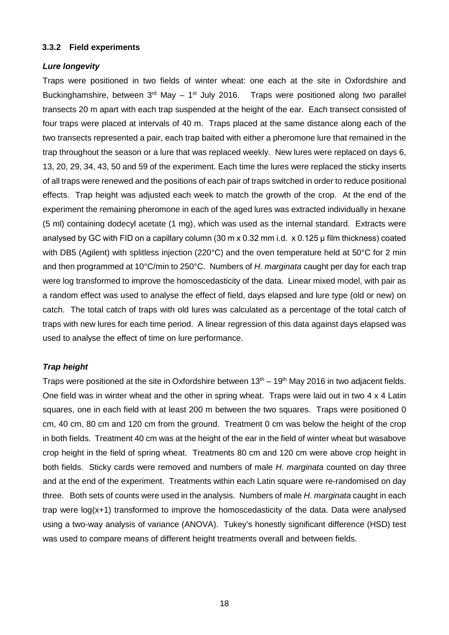#### **3.3.2 Field experiments**

#### *Lure longevity*

Traps were positioned in two fields of winter wheat: one each at the site in Oxfordshire and Buckinghamshire, between  $3<sup>rd</sup>$  May – 1<sup>st</sup> July 2016. Traps were positioned along two parallel transects 20 m apart with each trap suspended at the height of the ear. Each transect consisted of four traps were placed at intervals of 40 m. Traps placed at the same distance along each of the two transects represented a pair, each trap baited with either a pheromone lure that remained in the trap throughout the season or a lure that was replaced weekly. New lures were replaced on days 6, 13, 20, 29, 34, 43, 50 and 59 of the experiment. Each time the lures were replaced the sticky inserts of all traps were renewed and the positions of each pair of traps switched in order to reduce positional effects. Trap height was adjusted each week to match the growth of the crop. At the end of the experiment the remaining pheromone in each of the aged lures was extracted individually in hexane (5 ml) containing dodecyl acetate (1 mg), which was used as the internal standard. Extracts were analysed by GC with FID on a capillary column (30 m x 0.32 mm i.d. x 0.125 μ film thickness) coated with DB5 (Agilent) with splitless injection (220°C) and the oven temperature held at 50°C for 2 min and then programmed at 10°C/min to 250°C. Numbers of *H. marginata* caught per day for each trap were log transformed to improve the homoscedasticity of the data. Linear mixed model, with pair as a random effect was used to analyse the effect of field, days elapsed and lure type (old or new) on catch. The total catch of traps with old lures was calculated as a percentage of the total catch of traps with new lures for each time period. A linear regression of this data against days elapsed was used to analyse the effect of time on lure performance.

## *Trap height*

Traps were positioned at the site in Oxfordshire between  $13<sup>th</sup> - 19<sup>th</sup>$  May 2016 in two adjacent fields. One field was in winter wheat and the other in spring wheat. Traps were laid out in two  $4 \times 4$  Latin squares, one in each field with at least 200 m between the two squares. Traps were positioned 0 cm, 40 cm, 80 cm and 120 cm from the ground. Treatment 0 cm was below the height of the crop in both fields. Treatment 40 cm was at the height of the ear in the field of winter wheat but wasabove crop height in the field of spring wheat. Treatments 80 cm and 120 cm were above crop height in both fields. Sticky cards were removed and numbers of male *H. marginata* counted on day three and at the end of the experiment. Treatments within each Latin square were re-randomised on day three. Both sets of counts were used in the analysis. Numbers of male *H. marginata* caught in each trap were log(x+1) transformed to improve the homoscedasticity of the data. Data were analysed using a two-way analysis of variance (ANOVA). Tukey's honestly significant difference (HSD) test was used to compare means of different height treatments overall and between fields.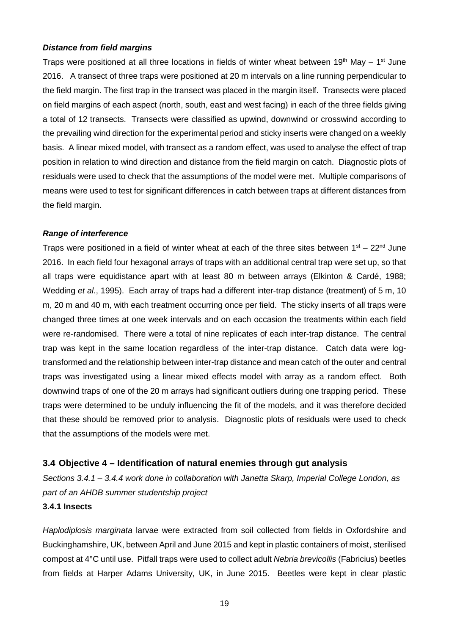## *Distance from field margins*

Traps were positioned at all three locations in fields of winter wheat between 19<sup>th</sup> May – 1<sup>st</sup> June 2016. A transect of three traps were positioned at 20 m intervals on a line running perpendicular to the field margin. The first trap in the transect was placed in the margin itself. Transects were placed on field margins of each aspect (north, south, east and west facing) in each of the three fields giving a total of 12 transects. Transects were classified as upwind, downwind or crosswind according to the prevailing wind direction for the experimental period and sticky inserts were changed on a weekly basis. A linear mixed model, with transect as a random effect, was used to analyse the effect of trap position in relation to wind direction and distance from the field margin on catch. Diagnostic plots of residuals were used to check that the assumptions of the model were met. Multiple comparisons of means were used to test for significant differences in catch between traps at different distances from the field margin.

## *Range of interference*

Traps were positioned in a field of winter wheat at each of the three sites between  $1^{st}$  – 22<sup>nd</sup> June 2016. In each field four hexagonal arrays of traps with an additional central trap were set up, so that all traps were equidistance apart with at least 80 m between arrays (Elkinton & Cardé, 1988; Wedding *et al.*, 1995). Each array of traps had a different inter-trap distance (treatment) of 5 m, 10 m, 20 m and 40 m, with each treatment occurring once per field. The sticky inserts of all traps were changed three times at one week intervals and on each occasion the treatments within each field were re-randomised. There were a total of nine replicates of each inter-trap distance. The central trap was kept in the same location regardless of the inter-trap distance. Catch data were logtransformed and the relationship between inter-trap distance and mean catch of the outer and central traps was investigated using a linear mixed effects model with array as a random effect. Both downwind traps of one of the 20 m arrays had significant outliers during one trapping period. These traps were determined to be unduly influencing the fit of the models, and it was therefore decided that these should be removed prior to analysis. Diagnostic plots of residuals were used to check that the assumptions of the models were met.

## **3.4 Objective 4 – Identification of natural enemies through gut analysis**

*Sections 3.4.1 – 3.4.4 work done in collaboration with Janetta Skarp, Imperial College London, as part of an AHDB summer studentship project*

## **3.4.1 Insects**

*Haplodiplosis marginata* larvae were extracted from soil collected from fields in Oxfordshire and Buckinghamshire, UK, between April and June 2015 and kept in plastic containers of moist, sterilised compost at 4°C until use. Pitfall traps were used to collect adult *Nebria brevicollis* (Fabricius) beetles from fields at Harper Adams University, UK, in June 2015. Beetles were kept in clear plastic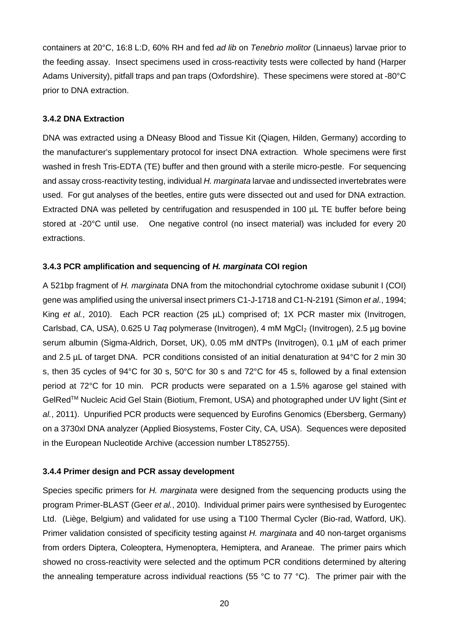containers at 20°C, 16:8 L:D, 60% RH and fed *ad lib* on *Tenebrio molitor* (Linnaeus) larvae prior to the feeding assay. Insect specimens used in cross-reactivity tests were collected by hand (Harper Adams University), pitfall traps and pan traps (Oxfordshire). These specimens were stored at -80°C prior to DNA extraction.

## **3.4.2 DNA Extraction**

DNA was extracted using a DNeasy Blood and Tissue Kit (Qiagen, Hilden, Germany) according to the manufacturer's supplementary protocol for insect DNA extraction*.* Whole specimens were first washed in fresh Tris-EDTA (TE) buffer and then ground with a sterile micro-pestle. For sequencing and assay cross-reactivity testing, individual *H. marginata* larvae and undissected invertebrates were used. For gut analyses of the beetles, entire guts were dissected out and used for DNA extraction. Extracted DNA was pelleted by centrifugation and resuspended in 100 µL TE buffer before being stored at -20°C until use. One negative control (no insect material) was included for every 20 extractions.

## **3.4.3 PCR amplification and sequencing of** *H. marginata* **COI region**

A 521bp fragment of *H. marginata* DNA from the mitochondrial cytochrome oxidase subunit I (COI) gene was amplified using the universal insect primers C1-J-1718 and C1-N-2191 (Simon *et al.*, 1994; King *et al.*, 2010). Each PCR reaction (25 µL) comprised of; 1X PCR master mix (Invitrogen, Carlsbad, CA, USA), 0.625 U *Taq* polymerase (Invitrogen), 4 mM MgCl2 (Invitrogen), 2.5 µg bovine serum albumin (Sigma-Aldrich, Dorset, UK), 0.05 mM dNTPs (Invitrogen), 0.1 µM of each primer and 2.5 µL of target DNA. PCR conditions consisted of an initial denaturation at 94°C for 2 min 30 s, then 35 cycles of 94°C for 30 s, 50°C for 30 s and 72°C for 45 s, followed by a final extension period at 72°C for 10 min. PCR products were separated on a 1.5% agarose gel stained with GelRedTM Nucleic Acid Gel Stain (Biotium, Fremont, USA) and photographed under UV light (Sint *et al.*, 2011). Unpurified PCR products were sequenced by Eurofins Genomics (Ebersberg, Germany) on a 3730xl DNA analyzer (Applied Biosystems, Foster City, CA, USA). Sequences were deposited in the European Nucleotide Archive (accession number LT852755).

# **3.4.4 Primer design and PCR assay development**

Species specific primers for *H. marginata* were designed from the sequencing products using the program Primer-BLAST (Geer *et al.*, 2010). Individual primer pairs were synthesised by Eurogentec Ltd. (Liège, Belgium) and validated for use using a T100 Thermal Cycler (Bio-rad, Watford, UK). Primer validation consisted of specificity testing against *H. marginata* and 40 non-target organisms from orders Diptera, Coleoptera, Hymenoptera, Hemiptera, and Araneae. The primer pairs which showed no cross-reactivity were selected and the optimum PCR conditions determined by altering the annealing temperature across individual reactions (55 °C to 77 °C). The primer pair with the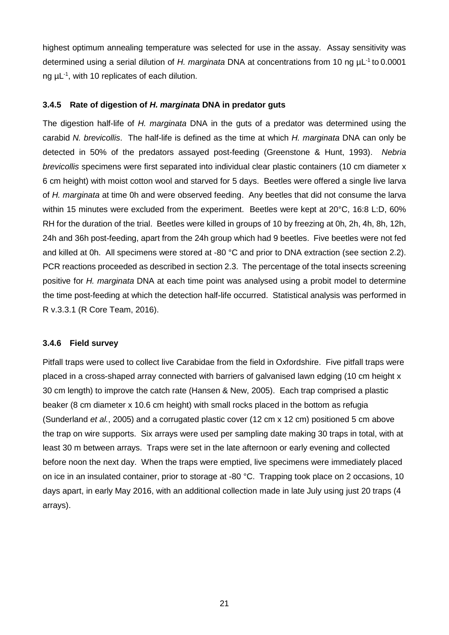highest optimum annealing temperature was selected for use in the assay. Assay sensitivity was determined using a serial dilution of *H. marginata* DNA at concentrations from 10 ng µL-1 to 0.0001 ng  $\mu$ L<sup>-1</sup>, with 10 replicates of each dilution.

## **3.4.5 Rate of digestion of** *H. marginata* **DNA in predator guts**

The digestion half-life of *H. marginata* DNA in the guts of a predator was determined using the carabid *N. brevicollis*. The half-life is defined as the time at which *H. marginata* DNA can only be detected in 50% of the predators assayed post-feeding (Greenstone & Hunt, 1993). *Nebria brevicollis* specimens were first separated into individual clear plastic containers (10 cm diameter x 6 cm height) with moist cotton wool and starved for 5 days. Beetles were offered a single live larva of *H. marginata* at time 0h and were observed feeding. Any beetles that did not consume the larva within 15 minutes were excluded from the experiment. Beetles were kept at 20°C, 16:8 L:D, 60% RH for the duration of the trial. Beetles were killed in groups of 10 by freezing at 0h, 2h, 4h, 8h, 12h, 24h and 36h post-feeding, apart from the 24h group which had 9 beetles. Five beetles were not fed and killed at 0h. All specimens were stored at -80 °C and prior to DNA extraction (see section 2.2). PCR reactions proceeded as described in section 2.3. The percentage of the total insects screening positive for *H. marginata* DNA at each time point was analysed using a probit model to determine the time post-feeding at which the detection half-life occurred. Statistical analysis was performed in R v.3.3.1 (R Core Team, 2016).

#### **3.4.6 Field survey**

Pitfall traps were used to collect live Carabidae from the field in Oxfordshire. Five pitfall traps were placed in a cross-shaped array connected with barriers of galvanised lawn edging (10 cm height x 30 cm length) to improve the catch rate (Hansen & New, 2005). Each trap comprised a plastic beaker (8 cm diameter x 10.6 cm height) with small rocks placed in the bottom as refugia (Sunderland *et al.*, 2005) and a corrugated plastic cover (12 cm x 12 cm) positioned 5 cm above the trap on wire supports. Six arrays were used per sampling date making 30 traps in total, with at least 30 m between arrays. Traps were set in the late afternoon or early evening and collected before noon the next day. When the traps were emptied, live specimens were immediately placed on ice in an insulated container, prior to storage at -80 °C. Trapping took place on 2 occasions, 10 days apart, in early May 2016, with an additional collection made in late July using just 20 traps (4 arrays).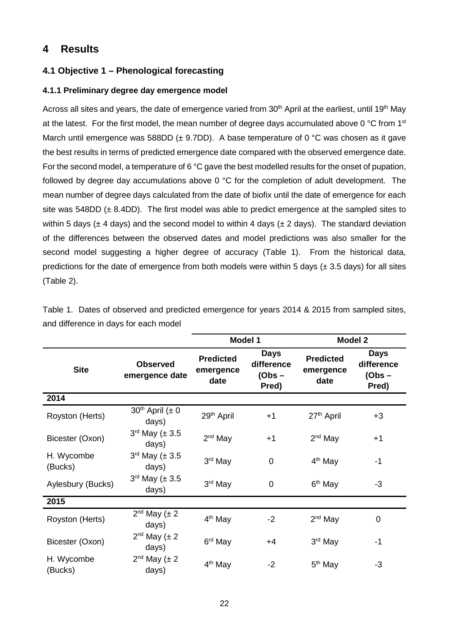# **4 Results**

# **4.1 Objective 1 – Phenological forecasting**

# **4.1.1 Preliminary degree day emergence model**

Across all sites and years, the date of emergence varied from 30<sup>th</sup> April at the earliest, until 19<sup>th</sup> May at the latest. For the first model, the mean number of degree days accumulated above 0 °C from 1<sup>st</sup> March until emergence was 588DD ( $\pm$  9.7DD). A base temperature of 0 °C was chosen as it gave the best results in terms of predicted emergence date compared with the observed emergence date. For the second model, a temperature of 6 °C gave the best modelled results for the onset of pupation, followed by degree day accumulations above 0 °C for the completion of adult development. The mean number of degree days calculated from the date of biofix until the date of emergence for each site was  $548DD \ (\pm 8.4DD)$ . The first model was able to predict emergence at the sampled sites to within 5 days ( $\pm$  4 days) and the second model to within 4 days ( $\pm$  2 days). The standard deviation of the differences between the observed dates and model predictions was also smaller for the second model suggesting a higher degree of accuracy (Table 1). From the historical data, predictions for the date of emergence from both models were within 5 days ( $\pm$  3.5 days) for all sites (Table 2).

|                       |                                   |                                       | Model 1                               | <b>Model 2</b>                        |                                       |  |
|-----------------------|-----------------------------------|---------------------------------------|---------------------------------------|---------------------------------------|---------------------------------------|--|
| <b>Site</b>           | <b>Observed</b><br>emergence date | <b>Predicted</b><br>emergence<br>date | Days<br>difference<br>(Obs –<br>Pred) | <b>Predicted</b><br>emergence<br>date | Days<br>difference<br>(Obs –<br>Pred) |  |
| 2014                  |                                   |                                       |                                       |                                       |                                       |  |
| Royston (Herts)       | $30th$ April ( $\pm 0$<br>days)   | 29 <sup>th</sup> April                | $+1$                                  | 27 <sup>th</sup> April                | $+3$                                  |  |
| Bicester (Oxon)       | $3^{rd}$ May ( $\pm 3.5$<br>days) | $2nd$ May                             | $+1$                                  | $2nd$ May                             | $+1$                                  |  |
| H. Wycombe<br>(Bucks) | $3^{rd}$ May ( $\pm 3.5$<br>days) | 3rd May                               | $\overline{0}$                        | $4th$ May                             | $-1$                                  |  |
| Aylesbury (Bucks)     | $3^{rd}$ May ( $\pm 3.5$<br>days) | 3rd May                               | 0                                     | 6 <sup>th</sup> May                   | $-3$                                  |  |
| 2015                  |                                   |                                       |                                       |                                       |                                       |  |
| Royston (Herts)       | $2^{nd}$ May ( $\pm 2$<br>days)   | 4 <sup>th</sup> May                   | $-2$                                  | $2nd$ May                             | 0                                     |  |
| Bicester (Oxon)       | $2^{nd}$ May ( $\pm 2$<br>days)   | 6 <sup>rd</sup> May                   | $+4$                                  | 3 <sup>rd</sup> May                   | $-1$                                  |  |
| H. Wycombe<br>(Bucks) | $2^{nd}$ May ( $\pm 2$<br>days)   | 4 <sup>th</sup> May                   | $-2$                                  | 5 <sup>th</sup> May                   | -3                                    |  |

Table 1. Dates of observed and predicted emergence for years 2014 & 2015 from sampled sites, and difference in days for each model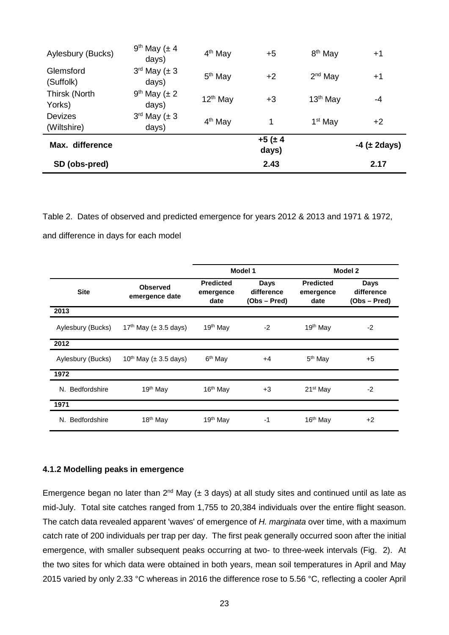| SD (obs-pred)                 |                                        |                     | 2.43              |                     | 2.17                |
|-------------------------------|----------------------------------------|---------------------|-------------------|---------------------|---------------------|
| Max. difference               |                                        |                     | $+5(±4)$<br>days) |                     | $-4$ ( $\pm$ 2days) |
| <b>Devizes</b><br>(Wiltshire) | $3^{\text{rd}}$ May ( $\pm$ 3<br>days) | 4 <sup>th</sup> May | 1                 | 1 <sup>st</sup> May | $+2$                |
| Thirsk (North<br>Yorks)       | $9th$ May ( $\pm 2$<br>days)           | $12th$ May          | $+3$              | $13th$ May          | -4                  |
| Glemsford<br>(Suffolk)        | $3^{\text{rd}}$ May ( $\pm 3$<br>days) | $5th$ May           | $+2$              | $2nd$ May           | $+1$                |
| Aylesbury (Bucks)             | $9th$ May ( $\pm$ 4<br>days)           | 4 <sup>th</sup> May | $+5$              | 8 <sup>th</sup> May | $+1$                |

Table 2. Dates of observed and predicted emergence for years 2012 & 2013 and 1971 & 1972, and difference in days for each model

|                    |                                        | Model 1                               |                                           | Model 2                               |                                    |
|--------------------|----------------------------------------|---------------------------------------|-------------------------------------------|---------------------------------------|------------------------------------|
| <b>Site</b>        | <b>Observed</b><br>emergence date      | <b>Predicted</b><br>emergence<br>date | <b>Days</b><br>difference<br>(Obs – Pred) | <b>Predicted</b><br>emergence<br>date | Days<br>difference<br>(Obs – Pred) |
| 2013               |                                        |                                       |                                           |                                       |                                    |
| Aylesbury (Bucks)  | 17 <sup>th</sup> May ( $\pm$ 3.5 days) | 19th May                              | $-2$                                      | 19 <sup>th</sup> May                  | $-2$                               |
| 2012               |                                        |                                       |                                           |                                       |                                    |
| Aylesbury (Bucks)  | $10^{th}$ May ( $\pm$ 3.5 days)        | 6 <sup>th</sup> May                   | $+4$                                      | 5 <sup>th</sup> May                   | $+5$                               |
| 1972               |                                        |                                       |                                           |                                       |                                    |
| Bedfordshire<br>N. | 19 <sup>th</sup> May                   | 16 <sup>th</sup> May                  | $+3$                                      | 21 <sup>st</sup> May                  | $-2$                               |
| 1971               |                                        |                                       |                                           |                                       |                                    |
| N. Bedfordshire    | 18 <sup>th</sup> May                   | 19 <sup>th</sup> May                  | -1                                        | $16th$ May                            | $+2$                               |

## **4.1.2 Modelling peaks in emergence**

Emergence began no later than  $2^{nd}$  May ( $\pm$  3 days) at all study sites and continued until as late as mid-July. Total site catches ranged from 1,755 to 20,384 individuals over the entire flight season. The catch data revealed apparent 'waves' of emergence of *H. marginata* over time, with a maximum catch rate of 200 individuals per trap per day. The first peak generally occurred soon after the initial emergence, with smaller subsequent peaks occurring at two- to three-week intervals (Fig. 2). At the two sites for which data were obtained in both years, mean soil temperatures in April and May 2015 varied by only 2.33 °C whereas in 2016 the difference rose to 5.56 °C, reflecting a cooler April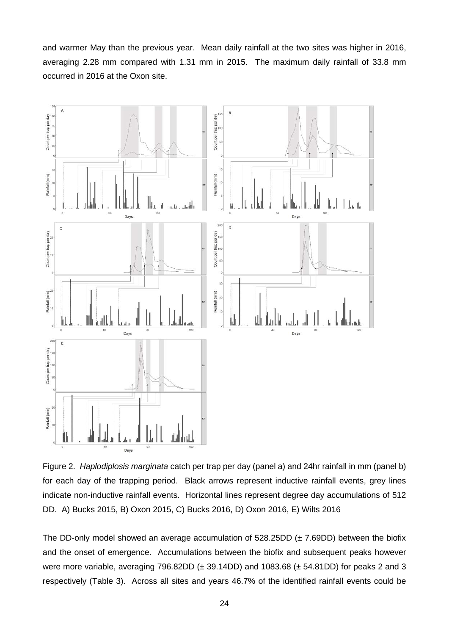and warmer May than the previous year. Mean daily rainfall at the two sites was higher in 2016, averaging 2.28 mm compared with 1.31 mm in 2015. The maximum daily rainfall of 33.8 mm occurred in 2016 at the Oxon site.



Figure 2. *Haplodiplosis marginata* catch per trap per day (panel a) and 24hr rainfall in mm (panel b) for each day of the trapping period. Black arrows represent inductive rainfall events, grey lines indicate non-inductive rainfall events. Horizontal lines represent degree day accumulations of 512 DD. A) Bucks 2015, B) Oxon 2015, C) Bucks 2016, D) Oxon 2016, E) Wilts 2016

The DD-only model showed an average accumulation of  $528.25DD$  ( $\pm$  7.69DD) between the biofix and the onset of emergence. Accumulations between the biofix and subsequent peaks however were more variable, averaging 796.82DD ( $\pm$  39.14DD) and 1083.68 ( $\pm$  54.81DD) for peaks 2 and 3 respectively (Table 3). Across all sites and years 46.7% of the identified rainfall events could be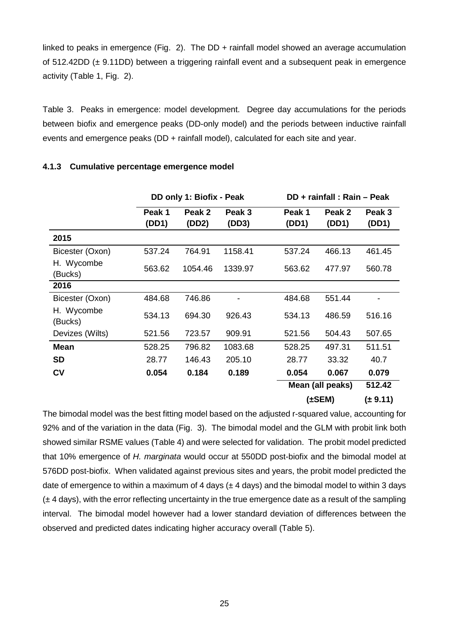linked to peaks in emergence (Fig. 2). The DD + rainfall model showed an average accumulation of  $512.42DD$  ( $\pm$  9.11DD) between a triggering rainfall event and a subsequent peak in emergence activity (Table 1, Fig. 2).

Table 3. Peaks in emergence: model development. Degree day accumulations for the periods between biofix and emergence peaks (DD-only model) and the periods between inductive rainfall events and emergence peaks (DD + rainfall model), calculated for each site and year.

|                       |                 | DD only 1: Biofix - Peak |                 |                 | DD + rainfall: Rain - Peak |                 |  |
|-----------------------|-----------------|--------------------------|-----------------|-----------------|----------------------------|-----------------|--|
|                       | Peak 1<br>(DD1) | Peak 2<br>(DD2)          | Peak 3<br>(DD3) | Peak 1<br>(DD1) | Peak 2<br>(DD1)            | Peak 3<br>(DD1) |  |
| 2015                  |                 |                          |                 |                 |                            |                 |  |
| Bicester (Oxon)       | 537.24          | 764.91                   | 1158.41         | 537.24          | 466.13                     | 461.45          |  |
| H. Wycombe<br>(Bucks) | 563.62          | 1054.46                  | 1339.97         | 563.62          | 477.97                     | 560.78          |  |
| 2016                  |                 |                          |                 |                 |                            |                 |  |
| Bicester (Oxon)       | 484.68          | 746.86                   |                 | 484.68          | 551.44                     |                 |  |
| H. Wycombe<br>(Bucks) | 534.13          | 694.30                   | 926.43          | 534.13          | 486.59                     | 516.16          |  |
| Devizes (Wilts)       | 521.56          | 723.57                   | 909.91          | 521.56          | 504.43                     | 507.65          |  |
| <b>Mean</b>           | 528.25          | 796.82                   | 1083.68         | 528.25          | 497.31                     | 511.51          |  |
| <b>SD</b>             | 28.77           | 146.43                   | 205.10          | 28.77           | 33.32                      | 40.7            |  |
| <b>CV</b>             | 0.054           | 0.184                    | 0.189           | 0.054           | 0.067                      | 0.079           |  |
|                       |                 |                          |                 |                 | Mean (all peaks)           | 512.42          |  |
|                       |                 |                          |                 |                 | $(\pm$ SEM)                | (± 9.11)        |  |

## **4.1.3 Cumulative percentage emergence model**

The bimodal model was the best fitting model based on the adjusted r-squared value, accounting for 92% and of the variation in the data (Fig. 3). The bimodal model and the GLM with probit link both showed similar RSME values (Table 4) and were selected for validation. The probit model predicted that 10% emergence of *H. marginata* would occur at 550DD post-biofix and the bimodal model at 576DD post-biofix. When validated against previous sites and years, the probit model predicted the date of emergence to within a maximum of 4 days  $(\pm 4 \text{ days})$  and the bimodal model to within 3 days  $(± 4$  days), with the error reflecting uncertainty in the true emergence date as a result of the sampling interval. The bimodal model however had a lower standard deviation of differences between the observed and predicted dates indicating higher accuracy overall (Table 5).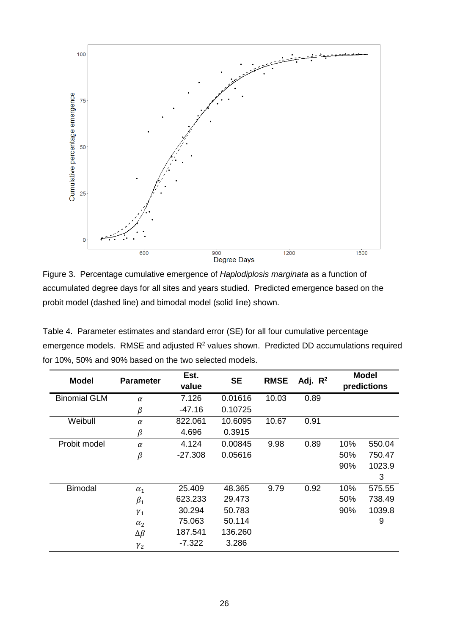

Figure 3. Percentage cumulative emergence of *Haplodiplosis marginata* as a function of accumulated degree days for all sites and years studied. Predicted emergence based on the probit model (dashed line) and bimodal model (solid line) shown.

| Table 4. Parameter estimates and standard error (SE) for all four cumulative percentage     |
|---------------------------------------------------------------------------------------------|
| emergence models. RMSE and adjusted $R^2$ values shown. Predicted DD accumulations required |
| for 10%, 50% and 90% based on the two selected models.                                      |

| <b>Model</b>        | <b>Parameter</b> | Est.      | <b>SE</b> | <b>RMSE</b> | Adj. $R^2$ | <b>Model</b><br>predictions |        |
|---------------------|------------------|-----------|-----------|-------------|------------|-----------------------------|--------|
|                     |                  | value     |           |             |            |                             |        |
| <b>Binomial GLM</b> | $\alpha$         | 7.126     | 0.01616   | 10.03       | 0.89       |                             |        |
|                     | $\beta$          | $-47.16$  | 0.10725   |             |            |                             |        |
| Weibull             | $\alpha$         | 822.061   | 10.6095   | 10.67       | 0.91       |                             |        |
|                     | $\beta$          | 4.696     | 0.3915    |             |            |                             |        |
| Probit model        | $\alpha$         | 4.124     | 0.00845   | 9.98        | 0.89       | 10%                         | 550.04 |
|                     | $\beta$          | $-27.308$ | 0.05616   |             |            | 50%                         | 750.47 |
|                     |                  |           |           |             |            | 90%                         | 1023.9 |
|                     |                  |           |           |             |            |                             | 3      |
| <b>Bimodal</b>      | $\alpha_1$       | 25.409    | 48.365    | 9.79        | 0.92       | 10%                         | 575.55 |
|                     | $\beta_1$        | 623.233   | 29.473    |             |            | 50%                         | 738.49 |
|                     | $\gamma_1$       | 30.294    | 50.783    |             |            | 90%                         | 1039.8 |
|                     | $\alpha_2$       | 75.063    | 50.114    |             |            |                             | 9      |
|                     | $\Delta \beta$   | 187.541   | 136.260   |             |            |                             |        |
|                     | $\gamma_2$       | $-7.322$  | 3.286     |             |            |                             |        |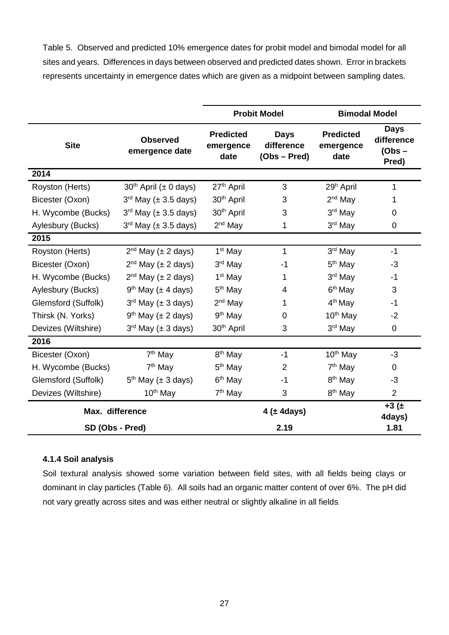Table 5. Observed and predicted 10% emergence dates for probit model and bimodal model for all sites and years. Differences in days between observed and predicted dates shown. Error in brackets represents uncertainty in emergence dates which are given as a midpoint between sampling dates.

|                     |                                   | <b>Probit Model</b>                   | <b>Bimodal Model</b>                        |                                       |                                                |
|---------------------|-----------------------------------|---------------------------------------|---------------------------------------------|---------------------------------------|------------------------------------------------|
| <b>Site</b>         | <b>Observed</b><br>emergence date | <b>Predicted</b><br>emergence<br>date | <b>Days</b><br>difference<br>$(Obs - Pred)$ | <b>Predicted</b><br>emergence<br>date | <b>Days</b><br>difference<br>$(Obs -$<br>Pred) |
| 2014                |                                   |                                       |                                             |                                       |                                                |
| Royston (Herts)     | $30th$ April ( $\pm$ 0 days)      | 27 <sup>th</sup> April                | 3                                           | 29 <sup>h</sup> April                 | $\mathbf 1$                                    |
| Bicester (Oxon)     | $3rd$ May ( $\pm$ 3.5 days)       | 30 <sup>th</sup> April                | 3                                           | $2nd$ May                             | 1                                              |
| H. Wycombe (Bucks)  | $3rd$ May ( $\pm$ 3.5 days)       | 30 <sup>th</sup> April                | 3                                           | 3rd May                               | $\Omega$                                       |
| Aylesbury (Bucks)   | $3rd$ May ( $\pm$ 3.5 days)       | $2nd$ May                             | 1                                           | 3rd May                               | 0                                              |
| 2015                |                                   |                                       |                                             |                                       |                                                |
| Royston (Herts)     | $2nd$ May ( $\pm$ 2 days)         | 1 <sup>st</sup> May                   | 1                                           | $3rd$ May                             | $-1$                                           |
| Bicester (Oxon)     | $2nd$ May ( $\pm$ 2 days)         | 3rd May                               | -1                                          | 5 <sup>th</sup> May                   | -3                                             |
| H. Wycombe (Bucks)  | $2nd$ May ( $\pm$ 2 days)         | 1 <sup>st</sup> May                   | 1                                           | 3rd May                               | $-1$                                           |
| Aylesbury (Bucks)   | $9th$ May ( $\pm$ 4 days)         | $5th$ May                             | 4                                           | $6th$ May                             | 3                                              |
| Glemsford (Suffolk) | $3rd$ May ( $\pm$ 3 days)         | $2nd$ May                             | 1                                           | 4 <sup>th</sup> May                   | $-1$                                           |
| Thirsk (N. Yorks)   | $9th$ May ( $\pm$ 2 days)         | $9th$ May                             | 0                                           | 10 <sup>th</sup> May                  | $-2$                                           |
| Devizes (Wiltshire) | $3rd$ May ( $\pm$ 3 days)         | 30 <sup>th</sup> April                | 3                                           | 3rd May                               | 0                                              |
| 2016                |                                   |                                       |                                             |                                       |                                                |
| Bicester (Oxon)     | 7 <sup>th</sup> May               | 8 <sup>th</sup> May                   | $-1$                                        | 10 <sup>th</sup> May                  | -3                                             |
| H. Wycombe (Bucks)  | 7 <sup>th</sup> May               | 5 <sup>th</sup> May                   | $\overline{2}$                              | $7th$ May                             | 0                                              |
| Glemsford (Suffolk) | $5th$ May ( $\pm$ 3 days)         | 6 <sup>th</sup> May                   | $-1$                                        | 8 <sup>th</sup> May                   | $-3$                                           |
| Devizes (Wiltshire) | 10 <sup>th</sup> May              | 7 <sup>th</sup> May                   | 3                                           | 8 <sup>th</sup> May                   | $\overline{2}$                                 |
| Max. difference     |                                   |                                       | $4$ ( $\pm$ 4days)                          |                                       | $+3(±)$<br>4days)                              |
| SD (Obs - Pred)     |                                   |                                       | 2.19                                        |                                       | 1.81                                           |

# **4.1.4 Soil analysis**

Soil textural analysis showed some variation between field sites, with all fields being clays or dominant in clay particles (Table 6). All soils had an organic matter content of over 6%. The pH did not vary greatly across sites and was either neutral or slightly alkaline in all fields.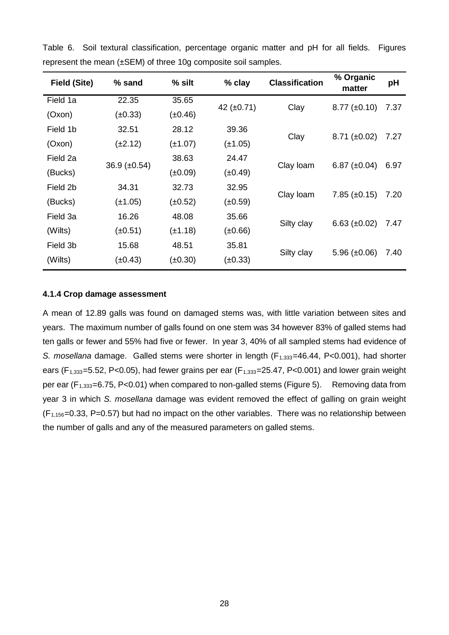| <b>Field (Site)</b> | % sand            | $%$ silt     | % clay          | <b>Classification</b> | % Organic<br>matter | pH   |
|---------------------|-------------------|--------------|-----------------|-----------------------|---------------------|------|
| Field 1a            | 22.35             | 35.65        | 42 $(\pm 0.71)$ | Clay                  | $8.77 \ (\pm 0.10)$ | 7.37 |
| (Oxon)              | $(\pm 0.33)$      | $(\pm 0.46)$ |                 |                       |                     |      |
| Field 1b            | 32.51             | 28.12        | 39.36           |                       |                     | 7.27 |
| (Oxon)              | $(\pm 2.12)$      | $(\pm 1.07)$ | $(\pm 1.05)$    | Clay                  | $8.71 \ (\pm 0.02)$ |      |
| Field 2a            |                   | 38.63        | 24.47           |                       |                     |      |
| (Bucks)             | 36.9 $(\pm 0.54)$ | (±0.09)      | $(\pm 0.49)$    | Clay Ioam             | 6.87 $(\pm 0.04)$   | 6.97 |
| Field 2b            | 34.31             | 32.73        | 32.95           |                       |                     |      |
| (Bucks)             | $(\pm 1.05)$      | (±0.52)      | (±0.59)         | Clay Ioam             | $7.85 \ (\pm 0.15)$ | 7.20 |
| Field 3a            | 16.26             | 48.08        | 35.66           |                       |                     |      |
| (Wilts)             | (±0.51)           | $(\pm 1.18)$ | (±0.66)         | Silty clay            | $6.63 \ (\pm 0.02)$ | 7.47 |
| Field 3b            | 15.68             | 48.51        | 35.81           |                       |                     |      |
| (Wilts)             | $(\pm 0.43)$      | $(\pm 0.30)$ | $(\pm 0.33)$    | Silty clay            | 5.96 $(\pm 0.06)$   | 7.40 |
|                     |                   |              |                 |                       |                     |      |

Table 6. Soil textural classification, percentage organic matter and pH for all fields. Figures represent the mean (±SEM) of three 10g composite soil samples.

## **4.1.4 Crop damage assessment**

A mean of 12.89 galls was found on damaged stems was, with little variation between sites and years. The maximum number of galls found on one stem was 34 however 83% of galled stems had ten galls or fewer and 55% had five or fewer. In year 3, 40% of all sampled stems had evidence of *S. mosellana* damage. Galled stems were shorter in length (F<sub>1,333</sub>=46.44, P<0.001), had shorter ears ( $F_{1,333}=5.52$ , P<0.05), had fewer grains per ear ( $F_{1,333}=25.47$ , P<0.001) and lower grain weight per ear ( $F_{1,333}=6.75$ , P<0.01) when compared to non-galled stems (Figure 5). Removing data from year 3 in which *S. mosellana* damage was evident removed the effect of galling on grain weight  $(F_{1,156}=0.33, P=0.57)$  but had no impact on the other variables. There was no relationship between the number of galls and any of the measured parameters on galled stems.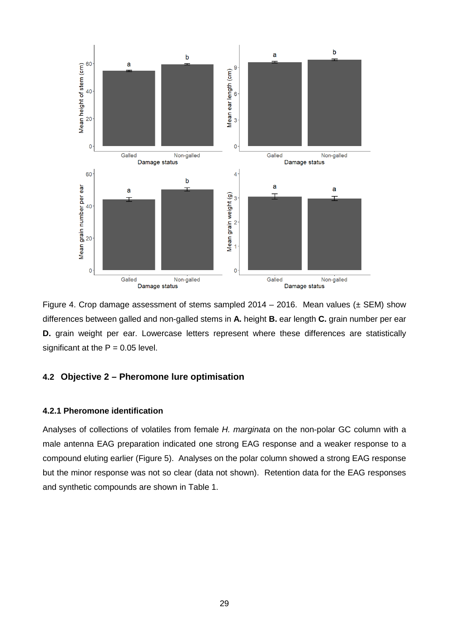

Figure 4. Crop damage assessment of stems sampled  $2014 - 2016$ . Mean values ( $\pm$  SEM) show differences between galled and non-galled stems in **A.** height **B.** ear length **C.** grain number per ear **D.** grain weight per ear. Lowercase letters represent where these differences are statistically significant at the  $P = 0.05$  level.

# **4.2 Objective 2 – Pheromone lure optimisation**

## **4.2.1 Pheromone identification**

Analyses of collections of volatiles from female *H. marginata* on the non-polar GC column with a male antenna EAG preparation indicated one strong EAG response and a weaker response to a compound eluting earlier (Figure 5). Analyses on the polar column showed a strong EAG response but the minor response was not so clear (data not shown). Retention data for the EAG responses and synthetic compounds are shown in Table 1.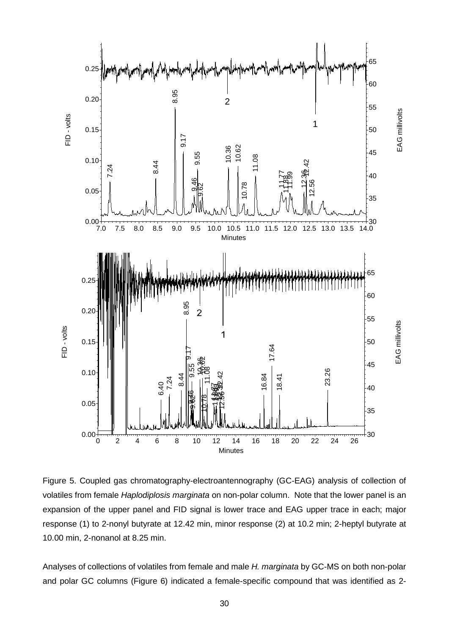

Figure 5. Coupled gas chromatography-electroantennography (GC-EAG) analysis of collection of volatiles from female *Haplodiplosis marginata* on non-polar column. Note that the lower panel is an expansion of the upper panel and FID signal is lower trace and EAG upper trace in each; major response (1) to 2-nonyl butyrate at 12.42 min, minor response (2) at 10.2 min; 2-heptyl butyrate at 10.00 min, 2-nonanol at 8.25 min.

Analyses of collections of volatiles from female and male *H. marginata* by GC-MS on both non-polar and polar GC columns (Figure 6) indicated a female-specific compound that was identified as 2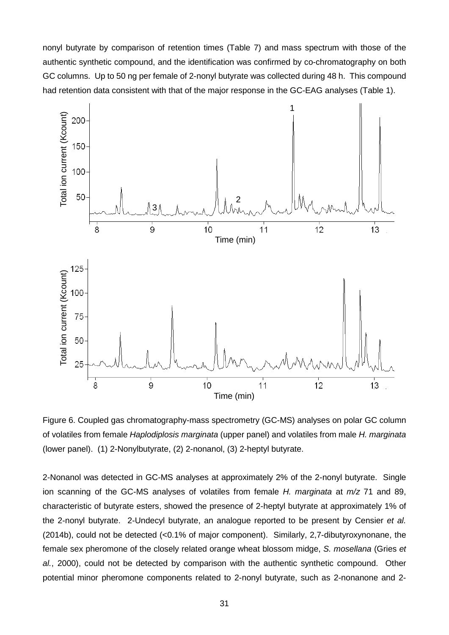nonyl butyrate by comparison of retention times (Table 7) and mass spectrum with those of the authentic synthetic compound, and the identification was confirmed by co-chromatography on both GC columns. Up to 50 ng per female of 2-nonyl butyrate was collected during 48 h. This compound had retention data consistent with that of the major response in the GC-EAG analyses (Table 1).



Figure 6. Coupled gas chromatography-mass spectrometry (GC-MS) analyses on polar GC column of volatiles from female *Haplodiplosis marginata* (upper panel) and volatiles from male *H. marginata* (lower panel). (1) 2-Nonylbutyrate, (2) 2-nonanol, (3) 2-heptyl butyrate.

2-Nonanol was detected in GC-MS analyses at approximately 2% of the 2-nonyl butyrate. Single ion scanning of the GC-MS analyses of volatiles from female *H. marginata* at *m/z* 71 and 89, characteristic of butyrate esters, showed the presence of 2-heptyl butyrate at approximately 1% of the 2-nonyl butyrate. 2-Undecyl butyrate, an analogue reported to be present by Censier *et al.* (2014b), could not be detected (<0.1% of major component). Similarly, 2,7-dibutyroxynonane, the female sex pheromone of the closely related orange wheat blossom midge, *S. mosellana* (Gries *et al.*, 2000), could not be detected by comparison with the authentic synthetic compound. Other potential minor pheromone components related to 2-nonyl butyrate, such as 2-nonanone and 2-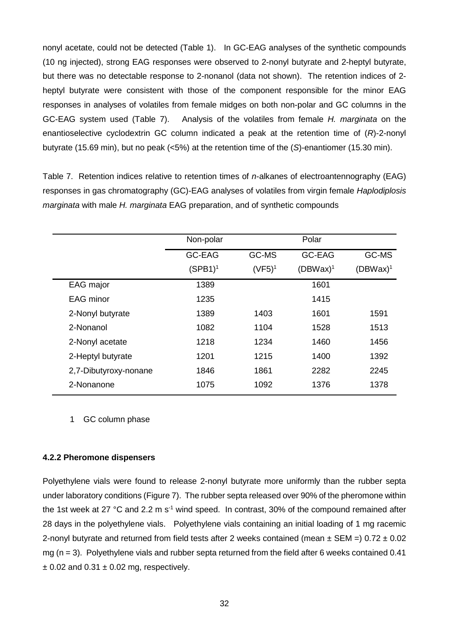nonyl acetate, could not be detected (Table 1). In GC-EAG analyses of the synthetic compounds (10 ng injected), strong EAG responses were observed to 2-nonyl butyrate and 2-heptyl butyrate, but there was no detectable response to 2-nonanol (data not shown). The retention indices of 2 heptyl butyrate were consistent with those of the component responsible for the minor EAG responses in analyses of volatiles from female midges on both non-polar and GC columns in the GC-EAG system used (Table 7). Analysis of the volatiles from female *H. marginata* on the enantioselective cyclodextrin GC column indicated a peak at the retention time of (*R*)-2-nonyl butyrate (15.69 min), but no peak (<5%) at the retention time of the (*S*)-enantiomer (15.30 min).

Table 7. Retention indices relative to retention times of *n*-alkanes of electroantennography (EAG) responses in gas chromatography (GC)-EAG analyses of volatiles from virgin female *Haplodiplosis marginata* with male *H. marginata* EAG preparation, and of synthetic compounds

|                       | Non-polar     |           | Polar       |             |
|-----------------------|---------------|-----------|-------------|-------------|
|                       | <b>GC-EAG</b> | GC-MS     | GC-EAG      | GC-MS       |
|                       | $(SPB1)^1$    | $(VF5)^1$ | $(DBWax)^1$ | $(DBWax)^1$ |
| EAG major             | 1389          |           | 1601        |             |
| <b>EAG</b> minor      | 1235          |           | 1415        |             |
| 2-Nonyl butyrate      | 1389          | 1403      | 1601        | 1591        |
| 2-Nonanol             | 1082          | 1104      | 1528        | 1513        |
| 2-Nonyl acetate       | 1218          | 1234      | 1460        | 1456        |
| 2-Heptyl butyrate     | 1201          | 1215      | 1400        | 1392        |
| 2,7-Dibutyroxy-nonane | 1846          | 1861      | 2282        | 2245        |
| 2-Nonanone            | 1075          | 1092      | 1376        | 1378        |

1 GC column phase

## **4.2.2 Pheromone dispensers**

Polyethylene vials were found to release 2-nonyl butyrate more uniformly than the rubber septa under laboratory conditions (Figure 7). The rubber septa released over 90% of the pheromone within the 1st week at 27 °C and 2.2 m  $s<sup>-1</sup>$  wind speed. In contrast, 30% of the compound remained after 28 days in the polyethylene vials. Polyethylene vials containing an initial loading of 1 mg racemic 2-nonyl butyrate and returned from field tests after 2 weeks contained (mean  $\pm$  SEM =) 0.72  $\pm$  0.02 mg  $(n = 3)$ . Polyethylene vials and rubber septa returned from the field after 6 weeks contained 0.41  $\pm$  0.02 and 0.31  $\pm$  0.02 mg, respectively.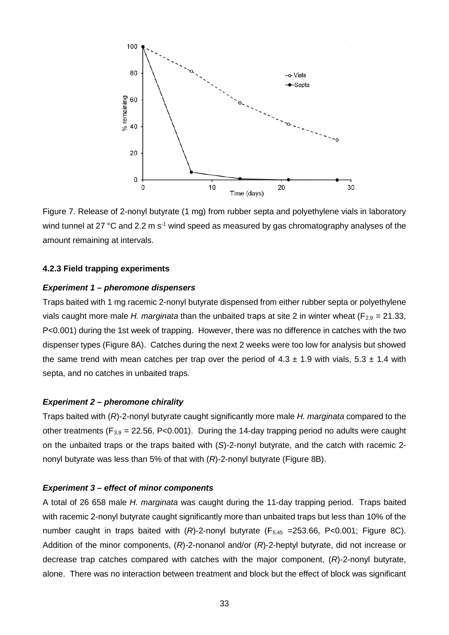

Figure 7. Release of 2-nonyl butyrate (1 mg) from rubber septa and polyethylene vials in laboratory wind tunnel at 27  $^{\circ}$ C and 2.2 m s<sup>-1</sup> wind speed as measured by gas chromatography analyses of the amount remaining at intervals.

#### **4.2.3 Field trapping experiments**

#### *Experiment 1 – pheromone dispensers*

Traps baited with 1 mg racemic 2-nonyl butyrate dispensed from either rubber septa or polyethylene vials caught more male *H. marginata* than the unbaited traps at site 2 in winter wheat ( $F_{2,9} = 21.33$ , P<0.001) during the 1st week of trapping. However, there was no difference in catches with the two dispenser types (Figure 8A). Catches during the next 2 weeks were too low for analysis but showed the same trend with mean catches per trap over the period of  $4.3 \pm 1.9$  with vials,  $5.3 \pm 1.4$  with septa, and no catches in unbaited traps.

#### *Experiment 2 – pheromone chirality*

Traps baited with (*R*)-2-nonyl butyrate caught significantly more male *H. marginata* compared to the other treatments ( $F_{3,9}$  = 22.56, P<0.001). During the 14-day trapping period no adults were caught on the unbaited traps or the traps baited with (*S*)-2-nonyl butyrate, and the catch with racemic 2 nonyl butyrate was less than 5% of that with (*R*)-2-nonyl butyrate (Figure 8B).

### *Experiment 3 – effect of minor components*

A total of 26 658 male *H. marginata* was caught during the 11-day trapping period. Traps baited with racemic 2-nonyl butyrate caught significantly more than unbaited traps but less than 10% of the number caught in traps baited with  $(R)$ -2-nonyl butyrate  $(F_{5,45} = 253.66, P < 0.001$ ; Figure 8C). Addition of the minor components, (*R*)-2-nonanol and/or (*R*)-2-heptyl butyrate, did not increase or decrease trap catches compared with catches with the major component, (*R*)-2-nonyl butyrate, alone. There was no interaction between treatment and block but the effect of block was significant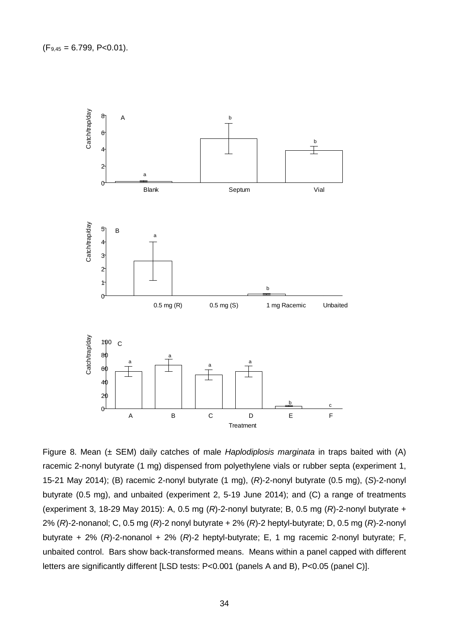

Figure 8. Mean (± SEM) daily catches of male *Haplodiplosis marginata* in traps baited with (A) racemic 2-nonyl butyrate (1 mg) dispensed from polyethylene vials or rubber septa (experiment 1, 15-21 May 2014); (B) racemic 2-nonyl butyrate (1 mg), (*R*)-2-nonyl butyrate (0.5 mg), (*S*)-2-nonyl butyrate (0.5 mg), and unbaited (experiment 2, 5-19 June 2014); and (C) a range of treatments (experiment 3, 18-29 May 2015): A, 0.5 mg (*R*)-2-nonyl butyrate; B, 0.5 mg (*R*)-2-nonyl butyrate + 2% (*R*)-2-nonanol; C, 0.5 mg (*R*)-2 nonyl butyrate + 2% (*R*)-2 heptyl-butyrate; D, 0.5 mg (*R*)-2-nonyl butyrate + 2% (*R*)-2-nonanol + 2% (*R*)-2 heptyl-butyrate; E, 1 mg racemic 2-nonyl butyrate; F, unbaited control. Bars show back-transformed means. Means within a panel capped with different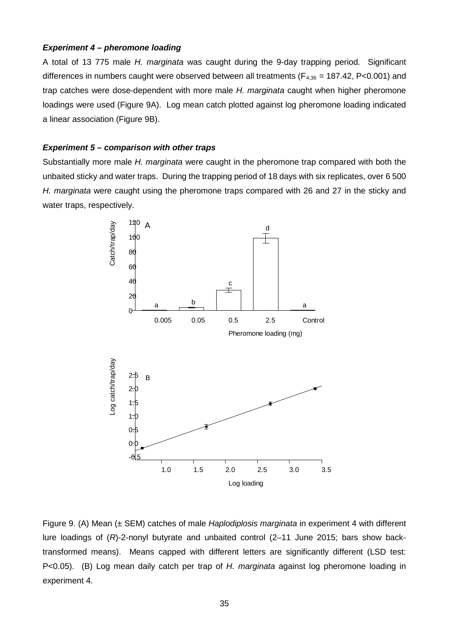# *Experiment 4 – pheromone loading*

A total of 13 775 male *H. marginata* was caught during the 9-day trapping period. Significant differences in numbers caught were observed between all treatments ( $F_{4,36}$  = 187.42, P<0.001) and trap catches were dose-dependent with more male *H. marginata* caught when higher pheromone loadings were used (Figure 9A). Log mean catch plotted against log pheromone loading indicated a linear association (Figure 9B).

#### *Experiment 5 – comparison with other traps*

Substantially more male *H. marginata* were caught in the pheromone trap compared with both the unbaited sticky and water traps. During the trapping period of 18 days with six replicates, over 6 500 *H. marginata* were caught using the pheromone traps compared with 26 and 27 in the sticky and water traps, respectively.



Figure 9. (A) Mean (± SEM) catches of male *Haplodiplosis marginata* in experiment 4 with different lure loadings of (*R*)-2-nonyl butyrate and unbaited control (2–11 June 2015; bars show backtransformed means). Means capped with different letters are significantly different (LSD test: P<0.05). (B) Log mean daily catch per trap of *H. marginata* against log pheromone loading in experiment 4.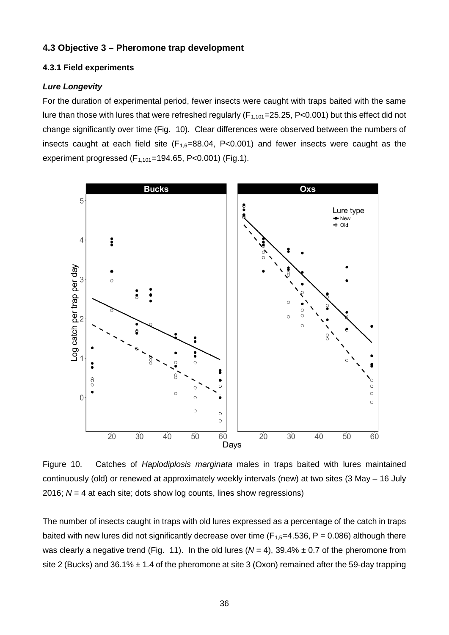## **4.3 Objective 3 – Pheromone trap development**

#### **4.3.1 Field experiments**

#### *Lure Longevity*

For the duration of experimental period, fewer insects were caught with traps baited with the same lure than those with lures that were refreshed regularly ( $F_{1,101}$ =25.25, P<0.001) but this effect did not change significantly over time (Fig. 10). Clear differences were observed between the numbers of insects caught at each field site  $(F_{1,6}=88.04, P<0.001)$  and fewer insects were caught as the experiment progressed  $(F_{1,101}=194.65, P<0.001)$  (Fig.1).



Figure 10.Catches of *Haplodiplosis marginata* males in traps baited with lures maintained continuously (old) or renewed at approximately weekly intervals (new) at two sites (3 May – 16 July 2016; *N* = 4 at each site; dots show log counts, lines show regressions)

The number of insects caught in traps with old lures expressed as a percentage of the catch in traps baited with new lures did not significantly decrease over time ( $F_{1,5}=4.536$ ,  $P = 0.086$ ) although there was clearly a negative trend (Fig. 11). In the old lures  $(N = 4)$ , 39.4%  $\pm$  0.7 of the pheromone from site 2 (Bucks) and 36.1%  $\pm$  1.4 of the pheromone at site 3 (Oxon) remained after the 59-day trapping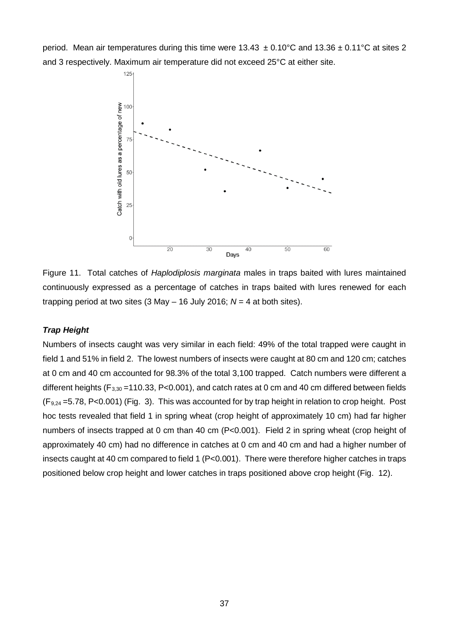period. Mean air temperatures during this time were  $13.43 \pm 0.10^{\circ}$ C and  $13.36 \pm 0.11^{\circ}$ C at sites 2 and 3 respectively. Maximum air temperature did not exceed 25°C at either site.



Figure 11.Total catches of *Haplodiplosis marginata* males in traps baited with lures maintained continuously expressed as a percentage of catches in traps baited with lures renewed for each trapping period at two sites (3 May – 16 July 2016; *N* = 4 at both sites).

# *Trap Height*

Numbers of insects caught was very similar in each field: 49% of the total trapped were caught in field 1 and 51% in field 2. The lowest numbers of insects were caught at 80 cm and 120 cm; catches at 0 cm and 40 cm accounted for 98.3% of the total 3,100 trapped. Catch numbers were different a different heights ( $F_{3,30}$  =110.33, P<0.001), and catch rates at 0 cm and 40 cm differed between fields  $(F_{9,24} = 5.78, P < 0.001)$  (Fig. 3). This was accounted for by trap height in relation to crop height. Post hoc tests revealed that field 1 in spring wheat (crop height of approximately 10 cm) had far higher numbers of insects trapped at 0 cm than 40 cm (P<0.001). Field 2 in spring wheat (crop height of approximately 40 cm) had no difference in catches at 0 cm and 40 cm and had a higher number of insects caught at 40 cm compared to field 1 (P<0.001). There were therefore higher catches in traps positioned below crop height and lower catches in traps positioned above crop height (Fig. 12).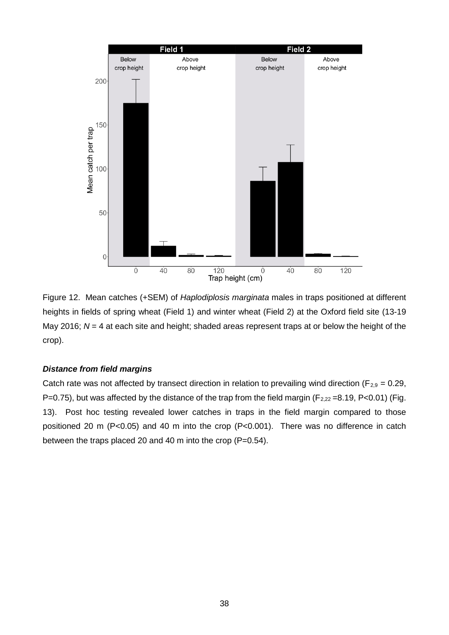

Figure 12.Mean catches (+SEM) of *Haplodiplosis marginata* males in traps positioned at different heights in fields of spring wheat (Field 1) and winter wheat (Field 2) at the Oxford field site (13-19 May 2016; *N* = 4 at each site and height; shaded areas represent traps at or below the height of the crop).

## *Distance from field margins*

Catch rate was not affected by transect direction in relation to prevailing wind direction ( $F_{2,9} = 0.29$ , P=0.75), but was affected by the distance of the trap from the field margin ( $F_{2,22}$ =8.19, P<0.01) (Fig. 13). Post hoc testing revealed lower catches in traps in the field margin compared to those positioned 20 m (P<0.05) and 40 m into the crop (P<0.001). There was no difference in catch between the traps placed 20 and 40 m into the crop (P=0.54).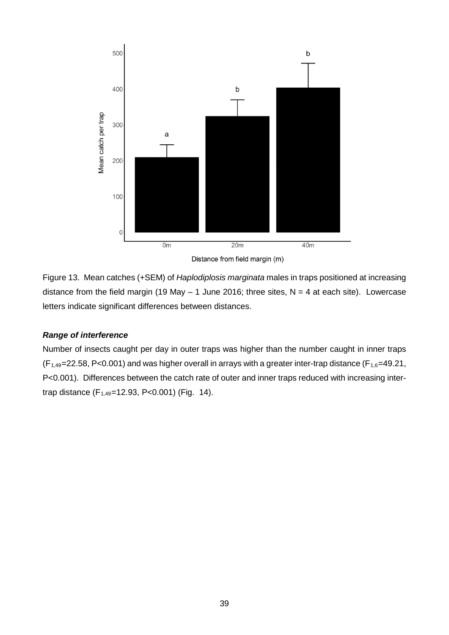

Distance from field margin (m)

Figure 13.Mean catches (+SEM) of *Haplodiplosis marginata* males in traps positioned at increasing distance from the field margin (19 May  $-$  1 June 2016; three sites, N = 4 at each site). Lowercase letters indicate significant differences between distances.

## *Range of interference*

Number of insects caught per day in outer traps was higher than the number caught in inner traps  $(F<sub>1.49</sub>=22.58, P<0.001)$  and was higher overall in arrays with a greater inter-trap distance ( $F<sub>1.6</sub>=49.21$ , P<0.001). Differences between the catch rate of outer and inner traps reduced with increasing intertrap distance  $(F_{1,49}=12.93, P<0.001)$  (Fig. 14).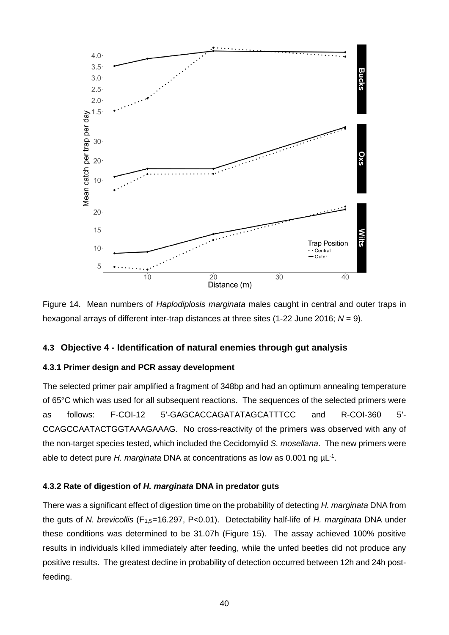

Figure 14.Mean numbers of *Haplodiplosis marginata* males caught in central and outer traps in hexagonal arrays of different inter-trap distances at three sites (1-22 June 2016; *N* = 9).

## **4.3 Objective 4 - Identification of natural enemies through gut analysis**

## **4.3.1 Primer design and PCR assay development**

The selected primer pair amplified a fragment of 348bp and had an optimum annealing temperature of 65°C which was used for all subsequent reactions. The sequences of the selected primers were as follows: F-COI-12 5'-GAGCACCAGATATAGCATTTCC and R-COI-360 5'- CCAGCCAATACTGGTAAAGAAAG. No cross-reactivity of the primers was observed with any of the non-target species tested, which included the Cecidomyiid *S. mosellana*. The new primers were able to detect pure *H. marginata* DNA at concentrations as low as 0.001 ng µL-1 .

#### **4.3.2 Rate of digestion of** *H. marginata* **DNA in predator guts**

There was a significant effect of digestion time on the probability of detecting *H. marginata* DNA from the guts of *N. brevicollis* (F1,5=16.297, P<0.01). Detectability half-life of *H. marginata* DNA under these conditions was determined to be 31.07h (Figure 15). The assay achieved 100% positive results in individuals killed immediately after feeding, while the unfed beetles did not produce any positive results. The greatest decline in probability of detection occurred between 12h and 24h postfeeding.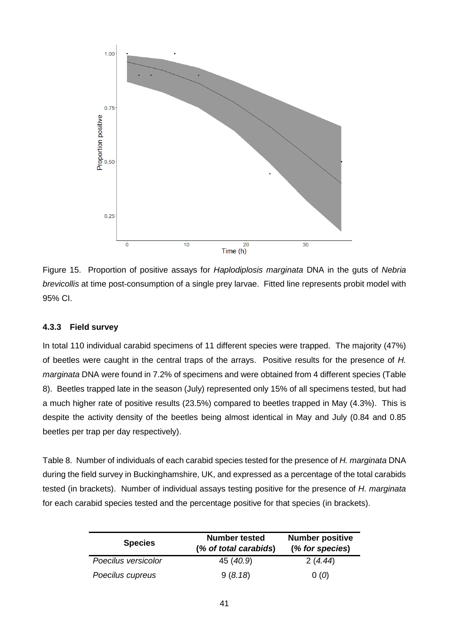

Figure 15. Proportion of positive assays for *Haplodiplosis marginata* DNA in the guts of *Nebria brevicollis* at time post-consumption of a single prey larvae. Fitted line represents probit model with 95% CI.

## **4.3.3 Field survey**

In total 110 individual carabid specimens of 11 different species were trapped. The majority (47%) of beetles were caught in the central traps of the arrays. Positive results for the presence of *H. marginata* DNA were found in 7.2% of specimens and were obtained from 4 different species (Table 8). Beetles trapped late in the season (July) represented only 15% of all specimens tested, but had a much higher rate of positive results (23.5%) compared to beetles trapped in May (4.3%). This is despite the activity density of the beetles being almost identical in May and July (0.84 and 0.85 beetles per trap per day respectively).

Table 8. Number of individuals of each carabid species tested for the presence of *H. marginata* DNA during the field survey in Buckinghamshire, UK, and expressed as a percentage of the total carabids tested (in brackets). Number of individual assays testing positive for the presence of *H. marginata* for each carabid species tested and the percentage positive for that species (in brackets).

| <b>Species</b>      | <b>Number tested</b><br>(% of total carabids) | <b>Number positive</b><br>(% for species) |
|---------------------|-----------------------------------------------|-------------------------------------------|
| Poecilus versicolor | 45 (40.9)                                     | 2(4.44)                                   |
| Poecilus cupreus    | 9(8.18)                                       | 0(0)                                      |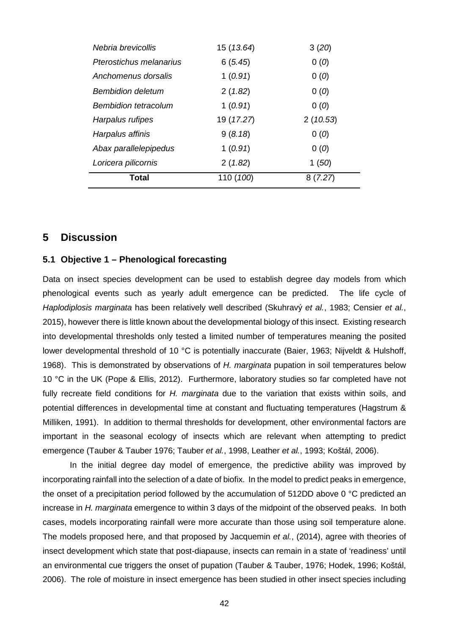| Nebria brevicollis          | 15 (13.64) | 3(20)    |
|-----------------------------|------------|----------|
| Pterostichus melanarius     | 6(5.45)    | 0(0)     |
| Anchomenus dorsalis         | 1(0.91)    | 0(0)     |
| <b>Bembidion deletum</b>    | 2(1.82)    | 0(0)     |
| <b>Bembidion tetracolum</b> | 1(0.91)    | 0(0)     |
| Harpalus rufipes            | 19 (17.27) | 2(10.53) |
| Harpalus affinis            | 9(8.18)    | 0(0)     |
| Abax parallelepipedus       | 1(0.91)    | 0(0)     |
| Loricera pilicornis         | 2(1.82)    | 1(50)    |
| Total                       | 110 (100)  | 8(7.27)  |

## **5 Discussion**

## **5.1 Objective 1 – Phenological forecasting**

Data on insect species development can be used to establish degree day models from which phenological events such as yearly adult emergence can be predicted. The life cycle of *Haplodiplosis marginata* has been relatively well described (Skuhravý *et al.*, 1983; Censier *et al.*, 2015), however there is little known about the developmental biology of this insect. Existing research into developmental thresholds only tested a limited number of temperatures meaning the posited lower developmental threshold of 10 °C is potentially inaccurate (Baier, 1963; Nijveldt & Hulshoff, 1968). This is demonstrated by observations of *H. marginata* pupation in soil temperatures below 10 °C in the UK (Pope & Ellis, 2012). Furthermore, laboratory studies so far completed have not fully recreate field conditions for *H. marginata* due to the variation that exists within soils, and potential differences in developmental time at constant and fluctuating temperatures (Hagstrum & Milliken, 1991). In addition to thermal thresholds for development, other environmental factors are important in the seasonal ecology of insects which are relevant when attempting to predict emergence (Tauber & Tauber 1976; Tauber *et al.*, 1998, Leather *et al.*, 1993; Koštál, 2006).

In the initial degree day model of emergence, the predictive ability was improved by incorporating rainfall into the selection of a date of biofix. In the model to predict peaks in emergence, the onset of a precipitation period followed by the accumulation of 512DD above 0 °C predicted an increase in *H. marginata* emergence to within 3 days of the midpoint of the observed peaks. In both cases, models incorporating rainfall were more accurate than those using soil temperature alone. The models proposed here, and that proposed by Jacquemin *et al.*, (2014), agree with theories of insect development which state that post-diapause, insects can remain in a state of 'readiness' until an environmental cue triggers the onset of pupation (Tauber & Tauber, 1976; Hodek, 1996; Koštál, 2006). The role of moisture in insect emergence has been studied in other insect species including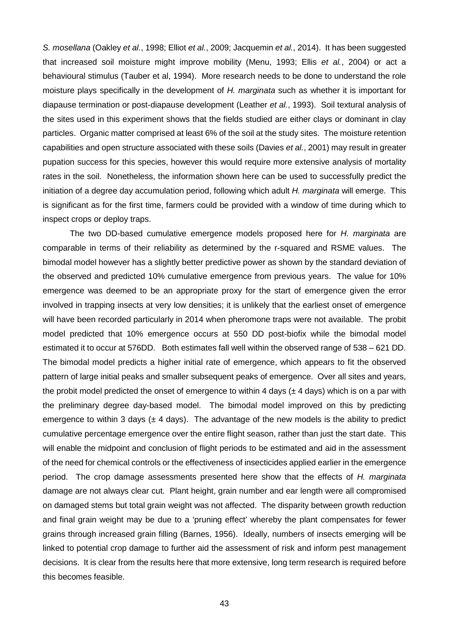*S. mosellana* (Oakley *et al.*, 1998; Elliot *et al.*, 2009; Jacquemin *et al.*, 2014). It has been suggested that increased soil moisture might improve mobility (Menu, 1993; Ellis *et al.*, 2004) or act a behavioural stimulus (Tauber et al, 1994). More research needs to be done to understand the role moisture plays specifically in the development of *H. marginata* such as whether it is important for diapause termination or post-diapause development (Leather *et al.*, 1993). Soil textural analysis of the sites used in this experiment shows that the fields studied are either clays or dominant in clay particles. Organic matter comprised at least 6% of the soil at the study sites. The moisture retention capabilities and open structure associated with these soils (Davies *et al.*, 2001) may result in greater pupation success for this species, however this would require more extensive analysis of mortality rates in the soil. Nonetheless, the information shown here can be used to successfully predict the initiation of a degree day accumulation period, following which adult *H. marginata* will emerge. This is significant as for the first time, farmers could be provided with a window of time during which to inspect crops or deploy traps.

The two DD-based cumulative emergence models proposed here for *H. marginata* are comparable in terms of their reliability as determined by the r-squared and RSME values. The bimodal model however has a slightly better predictive power as shown by the standard deviation of the observed and predicted 10% cumulative emergence from previous years. The value for 10% emergence was deemed to be an appropriate proxy for the start of emergence given the error involved in trapping insects at very low densities; it is unlikely that the earliest onset of emergence will have been recorded particularly in 2014 when pheromone traps were not available. The probit model predicted that 10% emergence occurs at 550 DD post-biofix while the bimodal model estimated it to occur at 576DD. Both estimates fall well within the observed range of 538 – 621 DD. The bimodal model predicts a higher initial rate of emergence, which appears to fit the observed pattern of large initial peaks and smaller subsequent peaks of emergence. Over all sites and years, the probit model predicted the onset of emergence to within 4 days  $(\pm 4 \text{ days})$  which is on a par with the preliminary degree day-based model. The bimodal model improved on this by predicting emergence to within 3 days ( $\pm$  4 days). The advantage of the new models is the ability to predict cumulative percentage emergence over the entire flight season, rather than just the start date. This will enable the midpoint and conclusion of flight periods to be estimated and aid in the assessment of the need for chemical controls or the effectiveness of insecticides applied earlier in the emergence period. The crop damage assessments presented here show that the effects of *H. marginata* damage are not always clear cut. Plant height, grain number and ear length were all compromised on damaged stems but total grain weight was not affected. The disparity between growth reduction and final grain weight may be due to a 'pruning effect' whereby the plant compensates for fewer grains through increased grain filling (Barnes, 1956). Ideally, numbers of insects emerging will be linked to potential crop damage to further aid the assessment of risk and inform pest management decisions. It is clear from the results here that more extensive, long term research is required before this becomes feasible.

43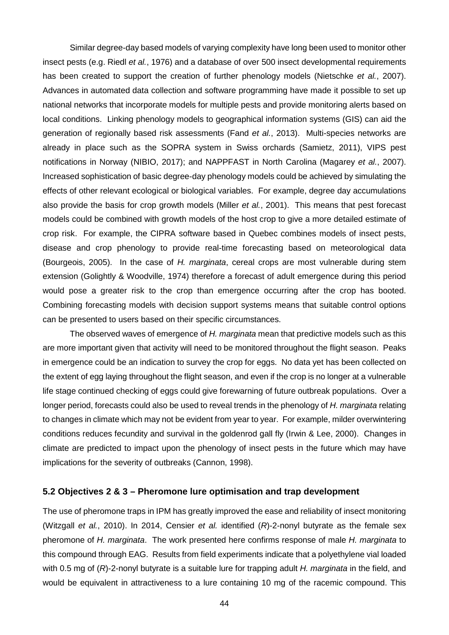Similar degree-day based models of varying complexity have long been used to monitor other insect pests (e.g. Riedl *et al.*, 1976) and a database of over 500 insect developmental requirements has been created to support the creation of further phenology models (Nietschke *et al.*, 2007). Advances in automated data collection and software programming have made it possible to set up national networks that incorporate models for multiple pests and provide monitoring alerts based on local conditions. Linking phenology models to geographical information systems (GIS) can aid the generation of regionally based risk assessments (Fand *et al.*, 2013). Multi-species networks are already in place such as the SOPRA system in Swiss orchards (Samietz, 2011), VIPS pest notifications in Norway (NIBIO, 2017); and NAPPFAST in North Carolina (Magarey *et al.*, 2007). Increased sophistication of basic degree-day phenology models could be achieved by simulating the effects of other relevant ecological or biological variables. For example, degree day accumulations also provide the basis for crop growth models (Miller *et al.*, 2001). This means that pest forecast models could be combined with growth models of the host crop to give a more detailed estimate of crop risk. For example, the CIPRA software based in Quebec combines models of insect pests, disease and crop phenology to provide real-time forecasting based on meteorological data (Bourgeois, 2005). In the case of *H. marginata*, cereal crops are most vulnerable during stem extension (Golightly & Woodville, 1974) therefore a forecast of adult emergence during this period would pose a greater risk to the crop than emergence occurring after the crop has booted. Combining forecasting models with decision support systems means that suitable control options can be presented to users based on their specific circumstances.

The observed waves of emergence of *H. marginata* mean that predictive models such as this are more important given that activity will need to be monitored throughout the flight season. Peaks in emergence could be an indication to survey the crop for eggs. No data yet has been collected on the extent of egg laying throughout the flight season, and even if the crop is no longer at a vulnerable life stage continued checking of eggs could give forewarning of future outbreak populations. Over a longer period, forecasts could also be used to reveal trends in the phenology of *H. marginata* relating to changes in climate which may not be evident from year to year. For example, milder overwintering conditions reduces fecundity and survival in the goldenrod gall fly (Irwin & Lee, 2000). Changes in climate are predicted to impact upon the phenology of insect pests in the future which may have implications for the severity of outbreaks (Cannon, 1998).

### **5.2 Objectives 2 & 3 – Pheromone lure optimisation and trap development**

The use of pheromone traps in IPM has greatly improved the ease and reliability of insect monitoring (Witzgall *et al.*, 2010). In 2014, Censier *et al.* identified (*R*)-2-nonyl butyrate as the female sex pheromone of *H. marginata*. The work presented here confirms response of male *H. marginata* to this compound through EAG. Results from field experiments indicate that a polyethylene vial loaded with 0.5 mg of (*R*)-2-nonyl butyrate is a suitable lure for trapping adult *H. marginata* in the field, and would be equivalent in attractiveness to a lure containing 10 mg of the racemic compound. This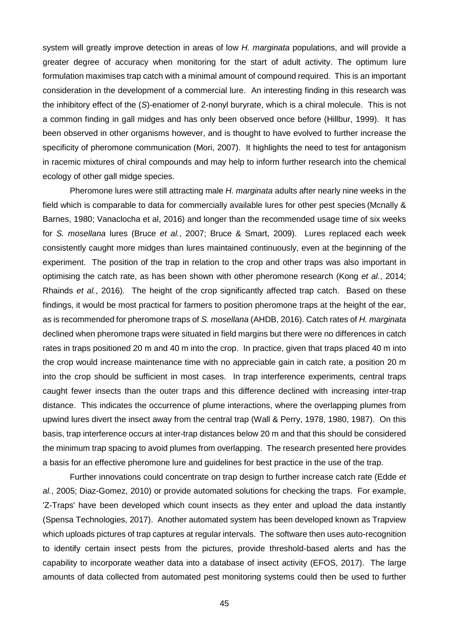system will greatly improve detection in areas of low *H. marginata* populations, and will provide a greater degree of accuracy when monitoring for the start of adult activity. The optimum lure formulation maximises trap catch with a minimal amount of compound required. This is an important consideration in the development of a commercial lure. An interesting finding in this research was the inhibitory effect of the (*S*)-enatiomer of 2-nonyl buryrate, which is a chiral molecule. This is not a common finding in gall midges and has only been observed once before (Hillbur, 1999). It has been observed in other organisms however, and is thought to have evolved to further increase the specificity of pheromone communication (Mori, 2007). It highlights the need to test for antagonism in racemic mixtures of chiral compounds and may help to inform further research into the chemical ecology of other gall midge species.

Pheromone lures were still attracting male *H. marginata* adults after nearly nine weeks in the field which is comparable to data for commercially available lures for other pest species (Mcnally & Barnes, 1980; Vanaclocha et al, 2016) and longer than the recommended usage time of six weeks for *S. mosellana* lures (Bruce *et al.*, 2007; Bruce & Smart, 2009). Lures replaced each week consistently caught more midges than lures maintained continuously, even at the beginning of the experiment. The position of the trap in relation to the crop and other traps was also important in optimising the catch rate, as has been shown with other pheromone research (Kong *et al.*, 2014; Rhainds *et al.*, 2016). The height of the crop significantly affected trap catch. Based on these findings, it would be most practical for farmers to position pheromone traps at the height of the ear, as is recommended for pheromone traps of *S. mosellana* (AHDB, 2016). Catch rates of *H. marginata*  declined when pheromone traps were situated in field margins but there were no differences in catch rates in traps positioned 20 m and 40 m into the crop. In practice, given that traps placed 40 m into the crop would increase maintenance time with no appreciable gain in catch rate, a position 20 m into the crop should be sufficient in most cases. In trap interference experiments, central traps caught fewer insects than the outer traps and this difference declined with increasing inter-trap distance. This indicates the occurrence of plume interactions, where the overlapping plumes from upwind lures divert the insect away from the central trap (Wall & Perry, 1978, 1980, 1987). On this basis, trap interference occurs at inter-trap distances below 20 m and that this should be considered the minimum trap spacing to avoid plumes from overlapping. The research presented here provides a basis for an effective pheromone lure and guidelines for best practice in the use of the trap.

Further innovations could concentrate on trap design to further increase catch rate (Edde *et al.*, 2005; Diaz-Gomez, 2010) or provide automated solutions for checking the traps. For example, 'Z-Traps' have been developed which count insects as they enter and upload the data instantly (Spensa Technologies, 2017). Another automated system has been developed known as Trapview which uploads pictures of trap captures at regular intervals. The software then uses auto-recognition to identify certain insect pests from the pictures, provide threshold-based alerts and has the capability to incorporate weather data into a database of insect activity (EFOS, 2017). The large amounts of data collected from automated pest monitoring systems could then be used to further

45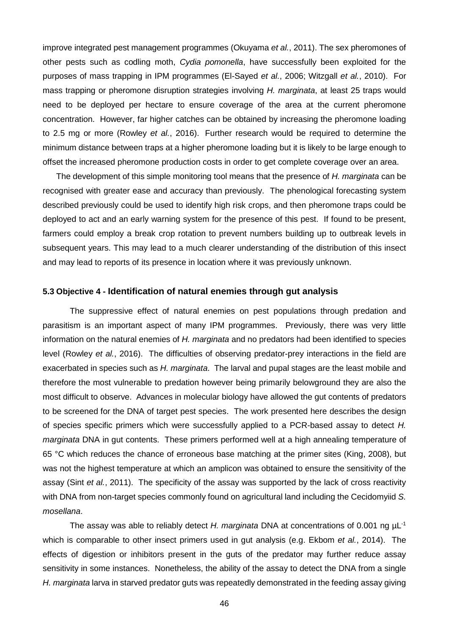improve integrated pest management programmes (Okuyama *et al.*, 2011). The sex pheromones of other pests such as codling moth, *Cydia pomonella*, have successfully been exploited for the purposes of mass trapping in IPM programmes (El-Sayed *et al.*, 2006; Witzgall *et al.*, 2010). For mass trapping or pheromone disruption strategies involving *H. marginata*, at least 25 traps would need to be deployed per hectare to ensure coverage of the area at the current pheromone concentration. However, far higher catches can be obtained by increasing the pheromone loading to 2.5 mg or more (Rowley *et al.*, 2016). Further research would be required to determine the minimum distance between traps at a higher pheromone loading but it is likely to be large enough to offset the increased pheromone production costs in order to get complete coverage over an area.

The development of this simple monitoring tool means that the presence of *H. marginata* can be recognised with greater ease and accuracy than previously. The phenological forecasting system described previously could be used to identify high risk crops, and then pheromone traps could be deployed to act and an early warning system for the presence of this pest. If found to be present, farmers could employ a break crop rotation to prevent numbers building up to outbreak levels in subsequent years. This may lead to a much clearer understanding of the distribution of this insect and may lead to reports of its presence in location where it was previously unknown.

#### **5.3 Objective 4 - Identification of natural enemies through gut analysis**

The suppressive effect of natural enemies on pest populations through predation and parasitism is an important aspect of many IPM programmes. Previously, there was very little information on the natural enemies of *H. marginata* and no predators had been identified to species level (Rowley *et al.*, 2016). The difficulties of observing predator-prey interactions in the field are exacerbated in species such as *H. marginata*. The larval and pupal stages are the least mobile and therefore the most vulnerable to predation however being primarily belowground they are also the most difficult to observe. Advances in molecular biology have allowed the gut contents of predators to be screened for the DNA of target pest species. The work presented here describes the design of species specific primers which were successfully applied to a PCR-based assay to detect *H. marginata* DNA in gut contents. These primers performed well at a high annealing temperature of 65 °C which reduces the chance of erroneous base matching at the primer sites (King, 2008), but was not the highest temperature at which an amplicon was obtained to ensure the sensitivity of the assay (Sint *et al.*, 2011). The specificity of the assay was supported by the lack of cross reactivity with DNA from non-target species commonly found on agricultural land including the Cecidomyiid *S. mosellana*.

The assay was able to reliably detect *H. marginata* DNA at concentrations of 0.001 ng µL-1 which is comparable to other insect primers used in gut analysis (e.g. Ekbom *et al.*, 2014). The effects of digestion or inhibitors present in the guts of the predator may further reduce assay sensitivity in some instances. Nonetheless, the ability of the assay to detect the DNA from a single *H. marginata* larva in starved predator guts was repeatedly demonstrated in the feeding assay giving

46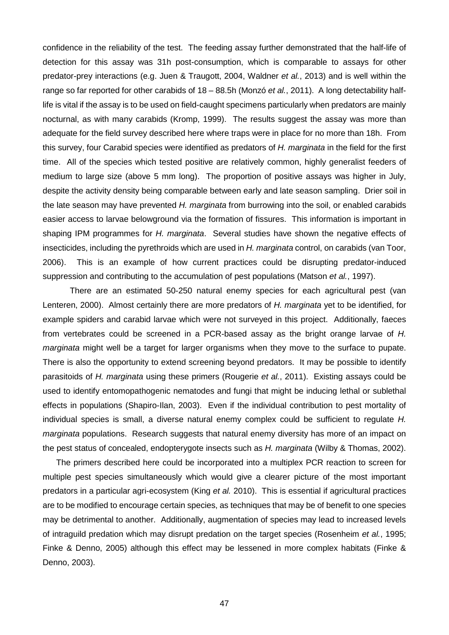confidence in the reliability of the test. The feeding assay further demonstrated that the half-life of detection for this assay was 31h post-consumption, which is comparable to assays for other predator-prey interactions (e.g. Juen & Traugott, 2004, Waldner *et al.*, 2013) and is well within the range so far reported for other carabids of 18 – 88.5h (Monzó *et al.*, 2011). A long detectability halflife is vital if the assay is to be used on field-caught specimens particularly when predators are mainly nocturnal, as with many carabids (Kromp, 1999). The results suggest the assay was more than adequate for the field survey described here where traps were in place for no more than 18h. From this survey, four Carabid species were identified as predators of *H. marginata* in the field for the first time. All of the species which tested positive are relatively common, highly generalist feeders of medium to large size (above 5 mm long). The proportion of positive assays was higher in July, despite the activity density being comparable between early and late season sampling. Drier soil in the late season may have prevented *H. marginata* from burrowing into the soil, or enabled carabids easier access to larvae belowground via the formation of fissures. This information is important in shaping IPM programmes for *H. marginata*. Several studies have shown the negative effects of insecticides, including the pyrethroids which are used in *H. marginata* control, on carabids (van Toor, 2006). This is an example of how current practices could be disrupting predator-induced suppression and contributing to the accumulation of pest populations (Matson *et al.*, 1997).

There are an estimated 50-250 natural enemy species for each agricultural pest (van Lenteren, 2000). Almost certainly there are more predators of *H. marginata* yet to be identified, for example spiders and carabid larvae which were not surveyed in this project. Additionally, faeces from vertebrates could be screened in a PCR-based assay as the bright orange larvae of *H. marginata* might well be a target for larger organisms when they move to the surface to pupate. There is also the opportunity to extend screening beyond predators. It may be possible to identify parasitoids of *H. marginata* using these primers (Rougerie *et al.*, 2011). Existing assays could be used to identify entomopathogenic nematodes and fungi that might be inducing lethal or sublethal effects in populations (Shapiro-Ilan, 2003). Even if the individual contribution to pest mortality of individual species is small, a diverse natural enemy complex could be sufficient to regulate *H. marginata* populations. Research suggests that natural enemy diversity has more of an impact on the pest status of concealed, endopterygote insects such as *H. marginata* (Wilby & Thomas, 2002).

The primers described here could be incorporated into a multiplex PCR reaction to screen for multiple pest species simultaneously which would give a clearer picture of the most important predators in a particular agri-ecosystem (King *et al.* 2010). This is essential if agricultural practices are to be modified to encourage certain species, as techniques that may be of benefit to one species may be detrimental to another. Additionally, augmentation of species may lead to increased levels of intraguild predation which may disrupt predation on the target species (Rosenheim *et al.*, 1995; Finke & Denno, 2005) although this effect may be lessened in more complex habitats (Finke & Denno, 2003).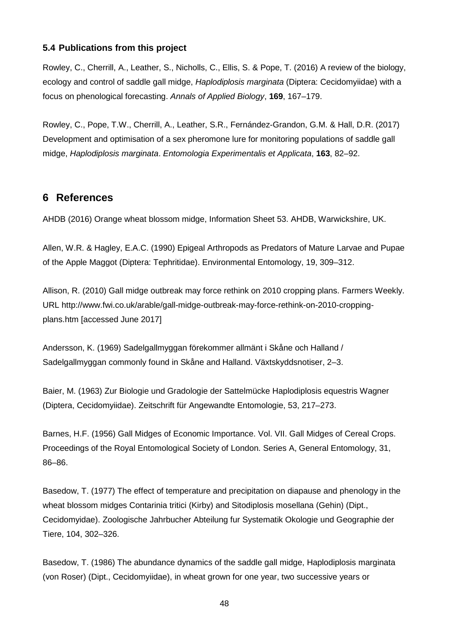# **5.4 Publications from this project**

Rowley, C., Cherrill, A., Leather, S., Nicholls, C., Ellis, S. & Pope, T. (2016) A review of the biology, ecology and control of saddle gall midge, *Haplodiplosis marginata* (Diptera: Cecidomyiidae) with a focus on phenological forecasting. *Annals of Applied Biology*, **169**, 167–179.

Rowley, C., Pope, T.W., Cherrill, A., Leather, S.R., Fernández-Grandon, G.M. & Hall, D.R. (2017) Development and optimisation of a sex pheromone lure for monitoring populations of saddle gall midge, *Haplodiplosis marginata*. *Entomologia Experimentalis et Applicata*, **163**, 82–92.

# **6 References**

AHDB (2016) Orange wheat blossom midge, Information Sheet 53. AHDB, Warwickshire, UK.

Allen, W.R. & Hagley, E.A.C. (1990) Epigeal Arthropods as Predators of Mature Larvae and Pupae of the Apple Maggot (Diptera: Tephritidae). Environmental Entomology, 19, 309–312.

Allison, R. (2010) Gall midge outbreak may force rethink on 2010 cropping plans. Farmers Weekly. URL http://www.fwi.co.uk/arable/gall-midge-outbreak-may-force-rethink-on-2010-croppingplans.htm [accessed June 2017]

Andersson, K. (1969) Sadelgallmyggan förekommer allmänt i Skåne och Halland / Sadelgallmyggan commonly found in Skåne and Halland. Växtskyddsnotiser, 2–3.

Baier, M. (1963) Zur Biologie und Gradologie der Sattelmücke Haplodiplosis equestris Wagner (Diptera, Cecidomyiidae). Zeitschrift für Angewandte Entomologie, 53, 217–273.

Barnes, H.F. (1956) Gall Midges of Economic Importance. Vol. VII. Gall Midges of Cereal Crops. Proceedings of the Royal Entomological Society of London. Series A, General Entomology, 31, 86–86.

Basedow, T. (1977) The effect of temperature and precipitation on diapause and phenology in the wheat blossom midges Contarinia tritici (Kirby) and Sitodiplosis mosellana (Gehin) (Dipt., Cecidomyidae). Zoologische Jahrbucher Abteilung fur Systematik Okologie und Geographie der Tiere, 104, 302–326.

Basedow, T. (1986) The abundance dynamics of the saddle gall midge, Haplodiplosis marginata (von Roser) (Dipt., Cecidomyiidae), in wheat grown for one year, two successive years or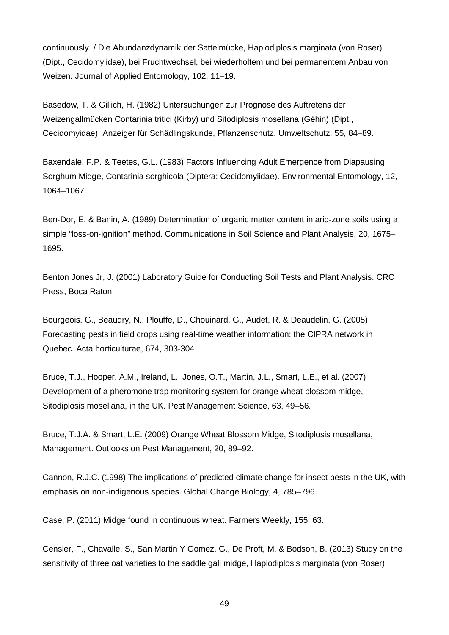continuously. / Die Abundanzdynamik der Sattelmücke, Haplodiplosis marginata (von Roser) (Dipt., Cecidomyiidae), bei Fruchtwechsel, bei wiederholtem und bei permanentem Anbau von Weizen. Journal of Applied Entomology, 102, 11–19.

Basedow, T. & Gillich, H. (1982) Untersuchungen zur Prognose des Auftretens der Weizengallmücken Contarinia tritici (Kirby) und Sitodiplosis mosellana (Géhin) (Dipt., Cecidomyidae). Anzeiger für Schädlingskunde, Pflanzenschutz, Umweltschutz, 55, 84–89.

Baxendale, F.P. & Teetes, G.L. (1983) Factors Influencing Adult Emergence from Diapausing Sorghum Midge, Contarinia sorghicola (Diptera: Cecidomyiidae). Environmental Entomology, 12, 1064–1067.

Ben‐Dor, E. & Banin, A. (1989) Determination of organic matter content in arid‐zone soils using a simple "loss-on-ignition" method. Communications in Soil Science and Plant Analysis, 20, 1675– 1695.

Benton Jones Jr, J. (2001) Laboratory Guide for Conducting Soil Tests and Plant Analysis. CRC Press, Boca Raton.

Bourgeois, G., Beaudry, N., Plouffe, D., Chouinard, G., Audet, R. & Deaudelin, G. (2005) Forecasting pests in field crops using real-time weather information: the CIPRA network in Quebec. Acta horticulturae, 674, 303-304

Bruce, T.J., Hooper, A.M., Ireland, L., Jones, O.T., Martin, J.L., Smart, L.E., et al. (2007) Development of a pheromone trap monitoring system for orange wheat blossom midge, Sitodiplosis mosellana, in the UK. Pest Management Science, 63, 49–56.

Bruce, T.J.A. & Smart, L.E. (2009) Orange Wheat Blossom Midge, Sitodiplosis mosellana, Management. Outlooks on Pest Management, 20, 89–92.

Cannon, R.J.C. (1998) The implications of predicted climate change for insect pests in the UK, with emphasis on non-indigenous species. Global Change Biology, 4, 785–796.

Case, P. (2011) Midge found in continuous wheat. Farmers Weekly, 155, 63.

Censier, F., Chavalle, S., San Martin Y Gomez, G., De Proft, M. & Bodson, B. (2013) Study on the sensitivity of three oat varieties to the saddle gall midge, Haplodiplosis marginata (von Roser)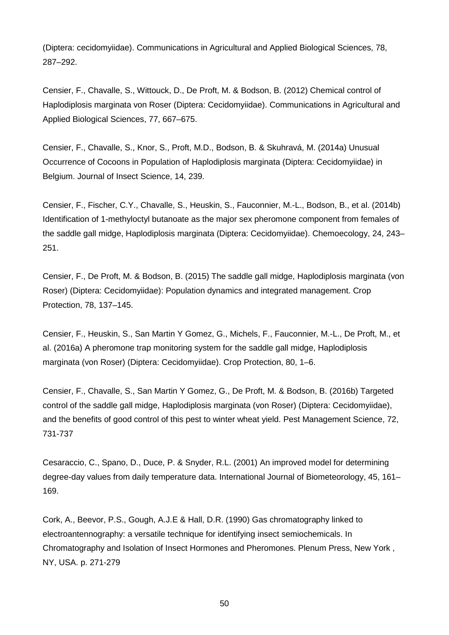(Diptera: cecidomyiidae). Communications in Agricultural and Applied Biological Sciences, 78, 287–292.

Censier, F., Chavalle, S., Wittouck, D., De Proft, M. & Bodson, B. (2012) Chemical control of Haplodiplosis marginata von Roser (Diptera: Cecidomyiidae). Communications in Agricultural and Applied Biological Sciences, 77, 667–675.

Censier, F., Chavalle, S., Knor, S., Proft, M.D., Bodson, B. & Skuhravá, M. (2014a) Unusual Occurrence of Cocoons in Population of Haplodiplosis marginata (Diptera: Cecidomyiidae) in Belgium. Journal of Insect Science, 14, 239.

Censier, F., Fischer, C.Y., Chavalle, S., Heuskin, S., Fauconnier, M.-L., Bodson, B., et al. (2014b) Identification of 1-methyloctyl butanoate as the major sex pheromone component from females of the saddle gall midge, Haplodiplosis marginata (Diptera: Cecidomyiidae). Chemoecology, 24, 243– 251.

Censier, F., De Proft, M. & Bodson, B. (2015) The saddle gall midge, Haplodiplosis marginata (von Roser) (Diptera: Cecidomyiidae): Population dynamics and integrated management. Crop Protection, 78, 137–145.

Censier, F., Heuskin, S., San Martin Y Gomez, G., Michels, F., Fauconnier, M.-L., De Proft, M., et al. (2016a) A pheromone trap monitoring system for the saddle gall midge, Haplodiplosis marginata (von Roser) (Diptera: Cecidomyiidae). Crop Protection, 80, 1–6.

Censier, F., Chavalle, S., San Martin Y Gomez, G., De Proft, M. & Bodson, B. (2016b) Targeted control of the saddle gall midge, Haplodiplosis marginata (von Roser) (Diptera: Cecidomyiidae), and the benefits of good control of this pest to winter wheat yield. Pest Management Science, 72, 731-737

Cesaraccio, C., Spano, D., Duce, P. & Snyder, R.L. (2001) An improved model for determining degree-day values from daily temperature data. International Journal of Biometeorology, 45, 161– 169.

Cork, A., Beevor, P.S., Gough, A.J.E & Hall, D.R. (1990) Gas chromatography linked to electroantennography: a versatile technique for identifying insect semiochemicals. In Chromatography and Isolation of Insect Hormones and Pheromones. Plenum Press, New York , NY, USA. p. 271-279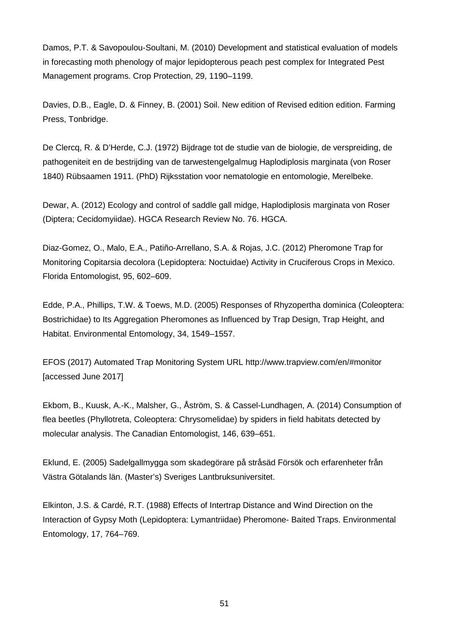Damos, P.T. & Savopoulou-Soultani, M. (2010) Development and statistical evaluation of models in forecasting moth phenology of major lepidopterous peach pest complex for Integrated Pest Management programs. Crop Protection, 29, 1190–1199.

Davies, D.B., Eagle, D. & Finney, B. (2001) Soil. New edition of Revised edition edition. Farming Press, Tonbridge.

De Clercq, R. & D'Herde, C.J. (1972) Bijdrage tot de studie van de biologie, de verspreiding, de pathogeniteit en de bestrijding van de tarwestengelgalmug Haplodiplosis marginata (von Roser 1840) Rübsaamen 1911. (PhD) Rijksstation voor nematologie en entomologie, Merelbeke.

Dewar, A. (2012) Ecology and control of saddle gall midge, Haplodiplosis marginata von Roser (Diptera; Cecidomyiidae). HGCA Research Review No. 76. HGCA.

Diaz-Gomez, O., Malo, E.A., Patiño-Arrellano, S.A. & Rojas, J.C. (2012) Pheromone Trap for Monitoring Copitarsia decolora (Lepidoptera: Noctuidae) Activity in Cruciferous Crops in Mexico. Florida Entomologist, 95, 602–609.

Edde, P.A., Phillips, T.W. & Toews, M.D. (2005) Responses of Rhyzopertha dominica (Coleoptera: Bostrichidae) to Its Aggregation Pheromones as Influenced by Trap Design, Trap Height, and Habitat. Environmental Entomology, 34, 1549–1557.

EFOS (2017) Automated Trap Monitoring System URL http://www.trapview.com/en/#monitor [accessed June 2017]

Ekbom, B., Kuusk, A.-K., Malsher, G., Åström, S. & Cassel-Lundhagen, A. (2014) Consumption of flea beetles (Phyllotreta, Coleoptera: Chrysomelidae) by spiders in field habitats detected by molecular analysis. The Canadian Entomologist, 146, 639–651.

Eklund, E. (2005) Sadelgallmygga som skadegörare på stråsäd Försök och erfarenheter från Västra Götalands län. (Master's) Sveriges Lantbruksuniversitet.

Elkinton, J.S. & Cardé, R.T. (1988) Effects of Intertrap Distance and Wind Direction on the Interaction of Gypsy Moth (Lepidoptera: Lymantriidae) Pheromone- Baited Traps. Environmental Entomology, 17, 764–769.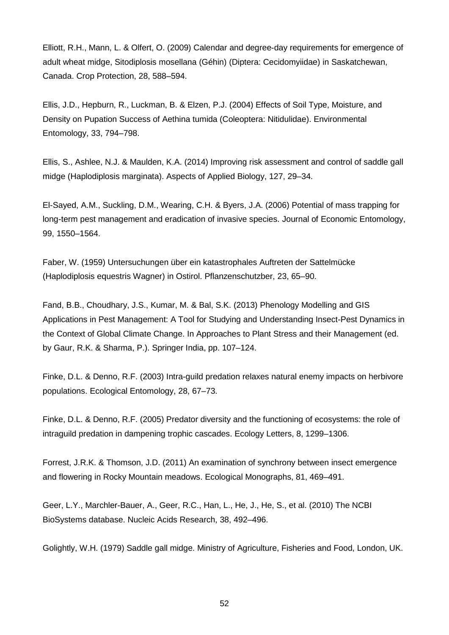Elliott, R.H., Mann, L. & Olfert, O. (2009) Calendar and degree-day requirements for emergence of adult wheat midge, Sitodiplosis mosellana (Géhin) (Diptera: Cecidomyiidae) in Saskatchewan, Canada. Crop Protection, 28, 588–594.

Ellis, J.D., Hepburn, R., Luckman, B. & Elzen, P.J. (2004) Effects of Soil Type, Moisture, and Density on Pupation Success of Aethina tumida (Coleoptera: Nitidulidae). Environmental Entomology, 33, 794–798.

Ellis, S., Ashlee, N.J. & Maulden, K.A. (2014) Improving risk assessment and control of saddle gall midge (Haplodiplosis marginata). Aspects of Applied Biology, 127, 29–34.

El-Sayed, A.M., Suckling, D.M., Wearing, C.H. & Byers, J.A. (2006) Potential of mass trapping for long-term pest management and eradication of invasive species. Journal of Economic Entomology, 99, 1550–1564.

Faber, W. (1959) Untersuchungen über ein katastrophales Auftreten der Sattelmücke (Haplodiplosis equestris Wagner) in Ostirol. Pflanzenschutzber, 23, 65–90.

Fand, B.B., Choudhary, J.S., Kumar, M. & Bal, S.K. (2013) Phenology Modelling and GIS Applications in Pest Management: A Tool for Studying and Understanding Insect-Pest Dynamics in the Context of Global Climate Change. In Approaches to Plant Stress and their Management (ed. by Gaur, R.K. & Sharma, P.). Springer India, pp. 107–124.

Finke, D.L. & Denno, R.F. (2003) Intra-guild predation relaxes natural enemy impacts on herbivore populations. Ecological Entomology, 28, 67–73.

Finke, D.L. & Denno, R.F. (2005) Predator diversity and the functioning of ecosystems: the role of intraguild predation in dampening trophic cascades. Ecology Letters, 8, 1299–1306.

Forrest, J.R.K. & Thomson, J.D. (2011) An examination of synchrony between insect emergence and flowering in Rocky Mountain meadows. Ecological Monographs, 81, 469–491.

Geer, L.Y., Marchler-Bauer, A., Geer, R.C., Han, L., He, J., He, S., et al. (2010) The NCBI BioSystems database. Nucleic Acids Research, 38, 492–496.

Golightly, W.H. (1979) Saddle gall midge. Ministry of Agriculture, Fisheries and Food, London, UK.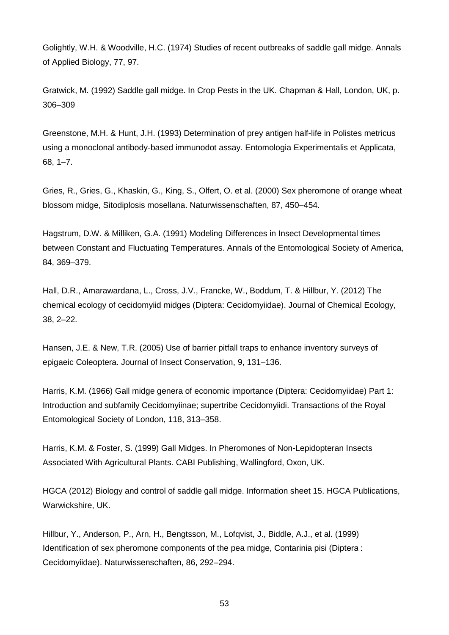Golightly, W.H. & Woodville, H.C. (1974) Studies of recent outbreaks of saddle gall midge. Annals of Applied Biology, 77, 97.

Gratwick, M. (1992) Saddle gall midge. In Crop Pests in the UK. Chapman & Hall, London, UK, p. 306–309

Greenstone, M.H. & Hunt, J.H. (1993) Determination of prey antigen half-life in Polistes metricus using a monoclonal antibody-based immunodot assay. Entomologia Experimentalis et Applicata, 68, 1–7.

Gries, R., Gries, G., Khaskin, G., King, S., Olfert, O. et al. (2000) Sex pheromone of orange wheat blossom midge, Sitodiplosis mosellana. Naturwissenschaften, 87, 450–454.

Hagstrum, D.W. & Milliken, G.A. (1991) Modeling Differences in Insect Developmental times between Constant and Fluctuating Temperatures. Annals of the Entomological Society of America, 84, 369–379.

Hall, D.R., Amarawardana, L., Cross, J.V., Francke, W., Boddum, T. & Hillbur, Y. (2012) The chemical ecology of cecidomyiid midges (Diptera: Cecidomyiidae). Journal of Chemical Ecology, 38, 2–22.

Hansen, J.E. & New, T.R. (2005) Use of barrier pitfall traps to enhance inventory surveys of epigaeic Coleoptera. Journal of Insect Conservation, 9, 131–136.

Harris, K.M. (1966) Gall midge genera of economic importance (Diptera: Cecidomyiidae) Part 1: Introduction and subfamily Cecidomyiinae; supertribe Cecidomyiidi. Transactions of the Royal Entomological Society of London, 118, 313–358.

Harris, K.M. & Foster, S. (1999) Gall Midges. In Pheromones of Non-Lepidopteran Insects Associated With Agricultural Plants. CABI Publishing, Wallingford, Oxon, UK.

HGCA (2012) Biology and control of saddle gall midge. Information sheet 15. HGCA Publications, Warwickshire, UK.

Hillbur, Y., Anderson, P., Arn, H., Bengtsson, M., Lofqvist, J., Biddle, A.J., et al. (1999) Identification of sex pheromone components of the pea midge, Contarinia pisi (Diptera : Cecidomyiidae). Naturwissenschaften, 86, 292–294.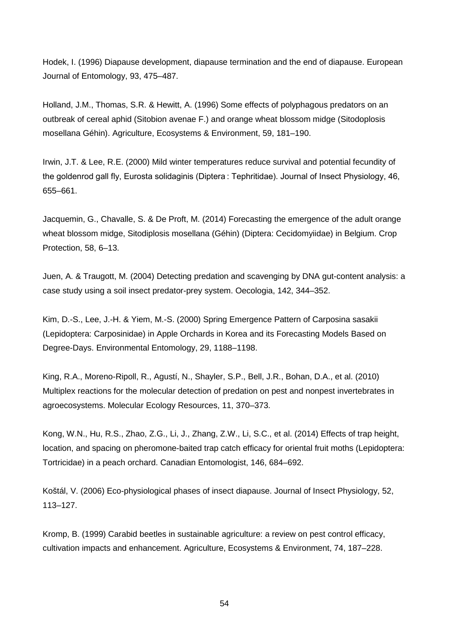Hodek, I. (1996) Diapause development, diapause termination and the end of diapause. European Journal of Entomology, 93, 475–487.

Holland, J.M., Thomas, S.R. & Hewitt, A. (1996) Some effects of polyphagous predators on an outbreak of cereal aphid (Sitobion avenae F.) and orange wheat blossom midge (Sitodoplosis mosellana Géhin). Agriculture, Ecosystems & Environment, 59, 181–190.

Irwin, J.T. & Lee, R.E. (2000) Mild winter temperatures reduce survival and potential fecundity of the goldenrod gall fly, Eurosta solidaginis (Diptera : Tephritidae). Journal of Insect Physiology, 46, 655–661.

Jacquemin, G., Chavalle, S. & De Proft, M. (2014) Forecasting the emergence of the adult orange wheat blossom midge, Sitodiplosis mosellana (Géhin) (Diptera: Cecidomyiidae) in Belgium. Crop Protection, 58, 6–13.

Juen, A. & Traugott, M. (2004) Detecting predation and scavenging by DNA gut-content analysis: a case study using a soil insect predator-prey system. Oecologia, 142, 344–352.

Kim, D.-S., Lee, J.-H. & Yiem, M.-S. (2000) Spring Emergence Pattern of Carposina sasakii (Lepidoptera: Carposinidae) in Apple Orchards in Korea and its Forecasting Models Based on Degree-Days. Environmental Entomology, 29, 1188–1198.

King, R.A., Moreno-Ripoll, R., Agustí, N., Shayler, S.P., Bell, J.R., Bohan, D.A., et al. (2010) Multiplex reactions for the molecular detection of predation on pest and nonpest invertebrates in agroecosystems. Molecular Ecology Resources, 11, 370–373.

Kong, W.N., Hu, R.S., Zhao, Z.G., Li, J., Zhang, Z.W., Li, S.C., et al. (2014) Effects of trap height, location, and spacing on pheromone-baited trap catch efficacy for oriental fruit moths (Lepidoptera: Tortricidae) in a peach orchard. Canadian Entomologist, 146, 684–692.

Koštál, V. (2006) Eco-physiological phases of insect diapause. Journal of Insect Physiology, 52, 113–127.

Kromp, B. (1999) Carabid beetles in sustainable agriculture: a review on pest control efficacy, cultivation impacts and enhancement. Agriculture, Ecosystems & Environment, 74, 187–228.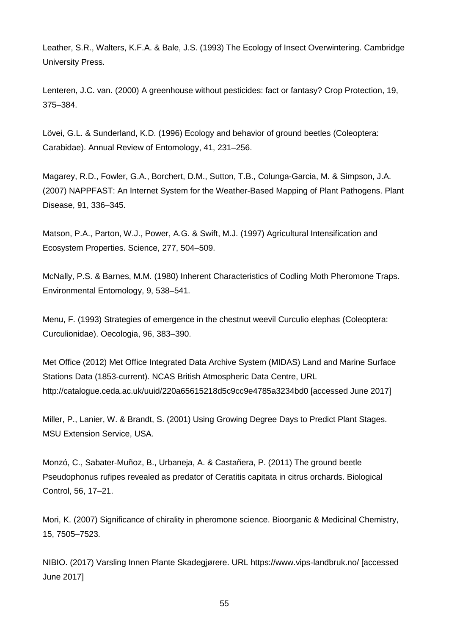Leather, S.R., Walters, K.F.A. & Bale, J.S. (1993) The Ecology of Insect Overwintering. Cambridge University Press.

Lenteren, J.C. van. (2000) A greenhouse without pesticides: fact or fantasy? Crop Protection, 19, 375–384.

Lövei, G.L. & Sunderland, K.D. (1996) Ecology and behavior of ground beetles (Coleoptera: Carabidae). Annual Review of Entomology, 41, 231–256.

Magarey, R.D., Fowler, G.A., Borchert, D.M., Sutton, T.B., Colunga-Garcia, M. & Simpson, J.A. (2007) NAPPFAST: An Internet System for the Weather-Based Mapping of Plant Pathogens. Plant Disease, 91, 336–345.

Matson, P.A., Parton, W.J., Power, A.G. & Swift, M.J. (1997) Agricultural Intensification and Ecosystem Properties. Science, 277, 504–509.

McNally, P.S. & Barnes, M.M. (1980) Inherent Characteristics of Codling Moth Pheromone Traps. Environmental Entomology, 9, 538–541.

Menu, F. (1993) Strategies of emergence in the chestnut weevil Curculio elephas (Coleoptera: Curculionidae). Oecologia, 96, 383–390.

Met Office (2012) Met Office Integrated Data Archive System (MIDAS) Land and Marine Surface Stations Data (1853-current). NCAS British Atmospheric Data Centre, URL http://catalogue.ceda.ac.uk/uuid/220a65615218d5c9cc9e4785a3234bd0 [accessed June 2017]

Miller, P., Lanier, W. & Brandt, S. (2001) Using Growing Degree Days to Predict Plant Stages. MSU Extension Service, USA.

Monzó, C., Sabater-Muñoz, B., Urbaneja, A. & Castañera, P. (2011) The ground beetle Pseudophonus rufipes revealed as predator of Ceratitis capitata in citrus orchards. Biological Control, 56, 17–21.

Mori, K. (2007) Significance of chirality in pheromone science. Bioorganic & Medicinal Chemistry, 15, 7505–7523.

NIBIO. (2017) Varsling Innen Plante Skadegjørere. URL https://www.vips-landbruk.no/ [accessed June 2017]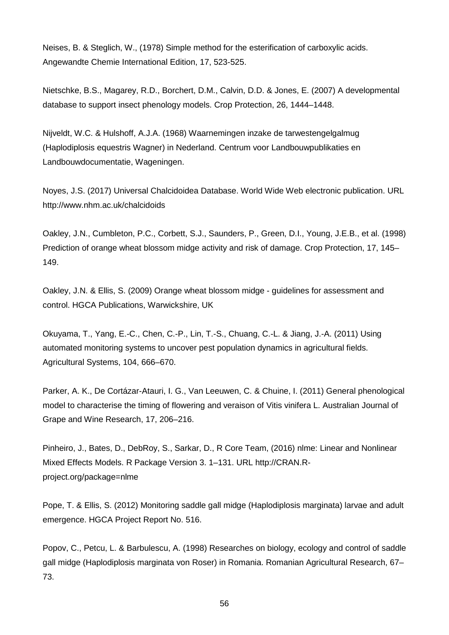Neises, B. & Steglich, W., (1978) Simple method for the esterification of carboxylic acids. Angewandte Chemie International Edition, 17, 523-525.

Nietschke, B.S., Magarey, R.D., Borchert, D.M., Calvin, D.D. & Jones, E. (2007) A developmental database to support insect phenology models. Crop Protection, 26, 1444–1448.

Nijveldt, W.C. & Hulshoff, A.J.A. (1968) Waarnemingen inzake de tarwestengelgalmug (Haplodiplosis equestris Wagner) in Nederland. Centrum voor Landbouwpublikaties en Landbouwdocumentatie, Wageningen.

Noyes, J.S. (2017) Universal Chalcidoidea Database. World Wide Web electronic publication. URL http://www.nhm.ac.uk/chalcidoids

Oakley, J.N., Cumbleton, P.C., Corbett, S.J., Saunders, P., Green, D.I., Young, J.E.B., et al. (1998) Prediction of orange wheat blossom midge activity and risk of damage. Crop Protection, 17, 145– 149.

Oakley, J.N. & Ellis, S. (2009) Orange wheat blossom midge - guidelines for assessment and control. HGCA Publications, Warwickshire, UK

Okuyama, T., Yang, E.-C., Chen, C.-P., Lin, T.-S., Chuang, C.-L. & Jiang, J.-A. (2011) Using automated monitoring systems to uncover pest population dynamics in agricultural fields. Agricultural Systems, 104, 666–670.

Parker, A. K., De Cortázar-Atauri, I. G., Van Leeuwen, C. & Chuine, I. (2011) General phenological model to characterise the timing of flowering and veraison of Vitis vinifera L. Australian Journal of Grape and Wine Research, 17, 206–216.

Pinheiro, J., Bates, D., DebRoy, S., Sarkar, D., R Core Team, (2016) nlme: Linear and Nonlinear Mixed Effects Models. R Package Version 3. 1–131. URL http://CRAN.Rproject.org/package=nlme

Pope, T. & Ellis, S. (2012) Monitoring saddle gall midge (Haplodiplosis marginata) larvae and adult emergence. HGCA Project Report No. 516.

Popov, C., Petcu, L. & Barbulescu, A. (1998) Researches on biology, ecology and control of saddle gall midge (Haplodiplosis marginata von Roser) in Romania. Romanian Agricultural Research, 67– 73.

56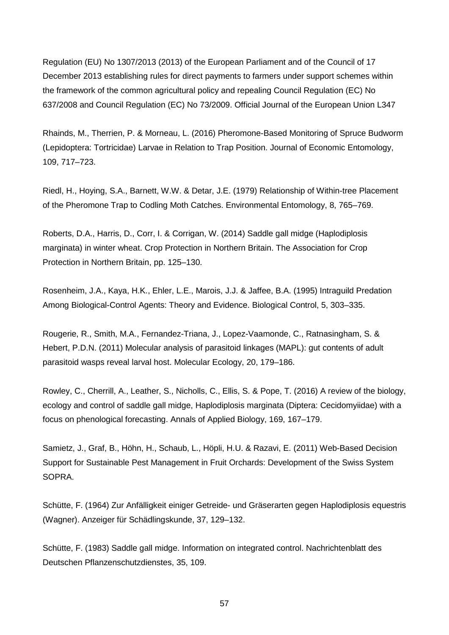Regulation (EU) No 1307/2013 (2013) of the European Parliament and of the Council of 17 December 2013 establishing rules for direct payments to farmers under support schemes within the framework of the common agricultural policy and repealing Council Regulation (EC) No 637/2008 and Council Regulation (EC) No 73/2009. Official Journal of the European Union L347

Rhainds, M., Therrien, P. & Morneau, L. (2016) Pheromone-Based Monitoring of Spruce Budworm (Lepidoptera: Tortricidae) Larvae in Relation to Trap Position. Journal of Economic Entomology, 109, 717–723.

Riedl, H., Hoying, S.A., Barnett, W.W. & Detar, J.E. (1979) Relationship of Within-tree Placement of the Pheromone Trap to Codling Moth Catches. Environmental Entomology, 8, 765–769.

Roberts, D.A., Harris, D., Corr, I. & Corrigan, W. (2014) Saddle gall midge (Haplodiplosis marginata) in winter wheat. Crop Protection in Northern Britain. The Association for Crop Protection in Northern Britain, pp. 125–130.

Rosenheim, J.A., Kaya, H.K., Ehler, L.E., Marois, J.J. & Jaffee, B.A. (1995) Intraguild Predation Among Biological-Control Agents: Theory and Evidence. Biological Control, 5, 303–335.

Rougerie, R., Smith, M.A., Fernandez-Triana, J., Lopez-Vaamonde, C., Ratnasingham, S. & Hebert, P.D.N. (2011) Molecular analysis of parasitoid linkages (MAPL): gut contents of adult parasitoid wasps reveal larval host. Molecular Ecology, 20, 179–186.

Rowley, C., Cherrill, A., Leather, S., Nicholls, C., Ellis, S. & Pope, T. (2016) A review of the biology, ecology and control of saddle gall midge, Haplodiplosis marginata (Diptera: Cecidomyiidae) with a focus on phenological forecasting. Annals of Applied Biology, 169, 167–179.

Samietz, J., Graf, B., Höhn, H., Schaub, L., Höpli, H.U. & Razavi, E. (2011) Web-Based Decision Support for Sustainable Pest Management in Fruit Orchards: Development of the Swiss System SOPRA.

Schütte, F. (1964) Zur Anfälligkeit einiger Getreide- und Gräserarten gegen Haplodiplosis equestris (Wagner). Anzeiger für Schädlingskunde, 37, 129–132.

Schütte, F. (1983) Saddle gall midge. Information on integrated control. Nachrichtenblatt des Deutschen Pflanzenschutzdienstes, 35, 109.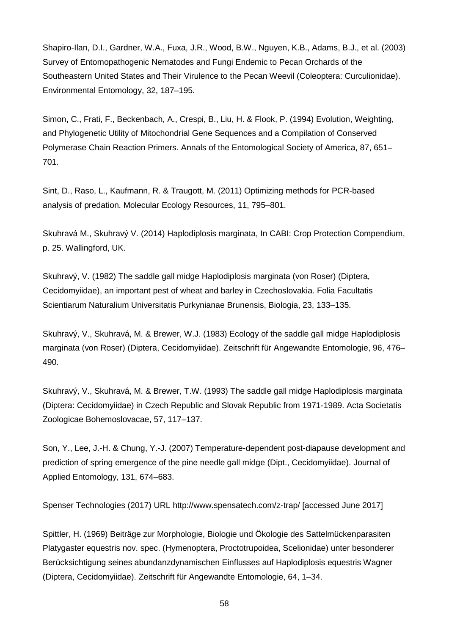Shapiro-Ilan, D.I., Gardner, W.A., Fuxa, J.R., Wood, B.W., Nguyen, K.B., Adams, B.J., et al. (2003) Survey of Entomopathogenic Nematodes and Fungi Endemic to Pecan Orchards of the Southeastern United States and Their Virulence to the Pecan Weevil (Coleoptera: Curculionidae). Environmental Entomology, 32, 187–195.

Simon, C., Frati, F., Beckenbach, A., Crespi, B., Liu, H. & Flook, P. (1994) Evolution, Weighting, and Phylogenetic Utility of Mitochondrial Gene Sequences and a Compilation of Conserved Polymerase Chain Reaction Primers. Annals of the Entomological Society of America, 87, 651– 701.

Sint, D., Raso, L., Kaufmann, R. & Traugott, M. (2011) Optimizing methods for PCR-based analysis of predation. Molecular Ecology Resources, 11, 795–801.

Skuhravá M., Skuhravý V. (2014) Haplodiplosis marginata, In CABI: Crop Protection Compendium, p. 25. Wallingford, UK.

Skuhravý, V. (1982) The saddle gall midge Haplodiplosis marginata (von Roser) (Diptera, Cecidomyiidae), an important pest of wheat and barley in Czechoslovakia. Folia Facultatis Scientiarum Naturalium Universitatis Purkynianae Brunensis, Biologia, 23, 133–135.

Skuhravý, V., Skuhravá, M. & Brewer, W.J. (1983) Ecology of the saddle gall midge Haplodiplosis marginata (von Roser) (Diptera, Cecidomyiidae). Zeitschrift für Angewandte Entomologie, 96, 476– 490.

Skuhravý, V., Skuhravá, M. & Brewer, T.W. (1993) The saddle gall midge Haplodiplosis marginata (Diptera: Cecidomyiidae) in Czech Republic and Slovak Republic from 1971-1989. Acta Societatis Zoologicae Bohemoslovacae, 57, 117–137.

Son, Y., Lee, J.-H. & Chung, Y.-J. (2007) Temperature-dependent post-diapause development and prediction of spring emergence of the pine needle gall midge (Dipt., Cecidomyiidae). Journal of Applied Entomology, 131, 674–683.

Spenser Technologies (2017) URL http://www.spensatech.com/z-trap/ [accessed June 2017]

Spittler, H. (1969) Beiträge zur Morphologie, Biologie und Ökologie des Sattelmückenparasiten Platygaster equestris nov. spec. (Hymenoptera, Proctotrupoidea, Scelionidae) unter besonderer Berücksichtigung seines abundanzdynamischen Einflusses auf Haplodiplosis equestris Wagner (Diptera, Cecidomyiidae). Zeitschrift für Angewandte Entomologie, 64, 1–34.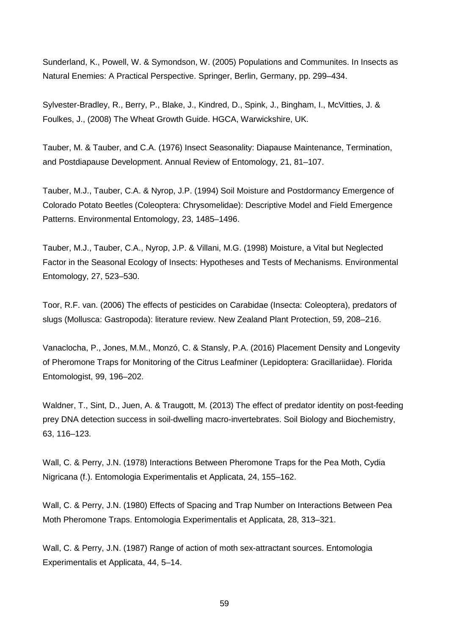Sunderland, K., Powell, W. & Symondson, W. (2005) Populations and Communites. In Insects as Natural Enemies: A Practical Perspective. Springer, Berlin, Germany, pp. 299–434.

Sylvester-Bradley, R., Berry, P., Blake, J., Kindred, D., Spink, J., Bingham, I., McVitties, J. & Foulkes, J., (2008) The Wheat Growth Guide. HGCA, Warwickshire, UK.

Tauber, M. & Tauber, and C.A. (1976) Insect Seasonality: Diapause Maintenance, Termination, and Postdiapause Development. Annual Review of Entomology, 21, 81–107.

Tauber, M.J., Tauber, C.A. & Nyrop, J.P. (1994) Soil Moisture and Postdormancy Emergence of Colorado Potato Beetles (Coleoptera: Chrysomelidae): Descriptive Model and Field Emergence Patterns. Environmental Entomology, 23, 1485–1496.

Tauber, M.J., Tauber, C.A., Nyrop, J.P. & Villani, M.G. (1998) Moisture, a Vital but Neglected Factor in the Seasonal Ecology of Insects: Hypotheses and Tests of Mechanisms. Environmental Entomology, 27, 523–530.

Toor, R.F. van. (2006) The effects of pesticides on Carabidae (Insecta: Coleoptera), predators of slugs (Mollusca: Gastropoda): literature review. New Zealand Plant Protection, 59, 208–216.

Vanaclocha, P., Jones, M.M., Monzó, C. & Stansly, P.A. (2016) Placement Density and Longevity of Pheromone Traps for Monitoring of the Citrus Leafminer (Lepidoptera: Gracillariidae). Florida Entomologist, 99, 196–202.

Waldner, T., Sint, D., Juen, A. & Traugott, M. (2013) The effect of predator identity on post-feeding prey DNA detection success in soil-dwelling macro-invertebrates. Soil Biology and Biochemistry, 63, 116–123.

Wall, C. & Perry, J.N. (1978) Interactions Between Pheromone Traps for the Pea Moth, Cydia Nigricana (f.). Entomologia Experimentalis et Applicata, 24, 155–162.

Wall, C. & Perry, J.N. (1980) Effects of Spacing and Trap Number on Interactions Between Pea Moth Pheromone Traps. Entomologia Experimentalis et Applicata, 28, 313–321.

Wall, C. & Perry, J.N. (1987) Range of action of moth sex-attractant sources. Entomologia Experimentalis et Applicata, 44, 5–14.